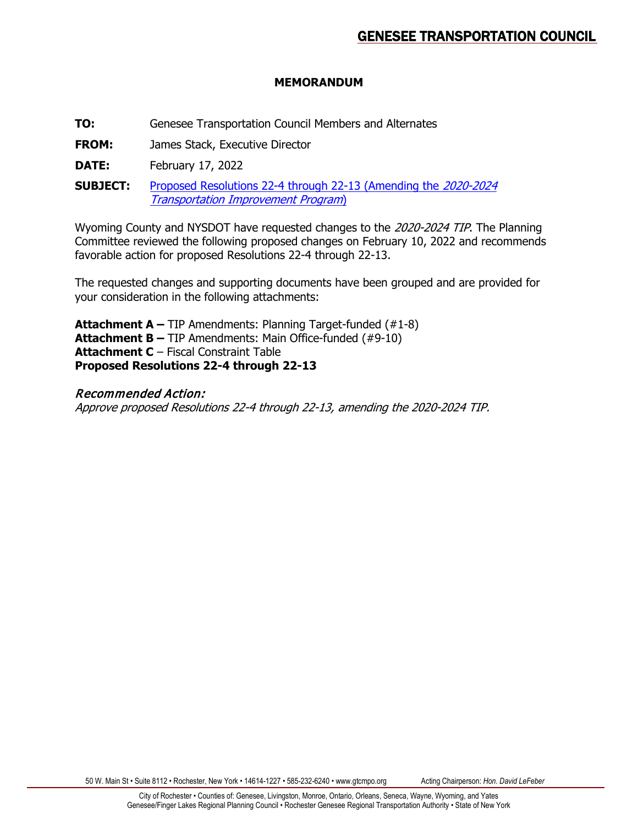# **MEMORANDUM**

**TO:** Genesee Transportation Council Members and Alternates

**FROM:** James Stack, Executive Director

**DATE:** February 17, 2022

**SUBJECT:** Proposed Resolutions 22-4 [through 22-13 \(Amending the](https://www.gtcmpo.org/sites/default/files/pdf/2022/gtc_february2022_item6c_tip.pdf) 2020-2024 Transportation [Improvement Program](https://www.gtcmpo.org/sites/default/files/pdf/2022/gtc_february2022_item6c_tip.pdf))

Wyoming County and NYSDOT have requested changes to the 2020-2024 TIP. The Planning Committee reviewed the following proposed changes on February 10, 2022 and recommends favorable action for proposed Resolutions 22-4 through 22-13.

The requested changes and supporting documents have been grouped and are provided for your consideration in the following attachments:

**Attachment A –** TIP Amendments: Planning Target-funded (#1-8) **Attachment B –** TIP Amendments: Main Office-funded (#9-10) **Attachment C** – Fiscal Constraint Table **Proposed Resolutions 22-4 through 22-13**

# Recommended Action:

Approve proposed Resolutions 22-4 through 22-13, amending the 2020-2024 TIP.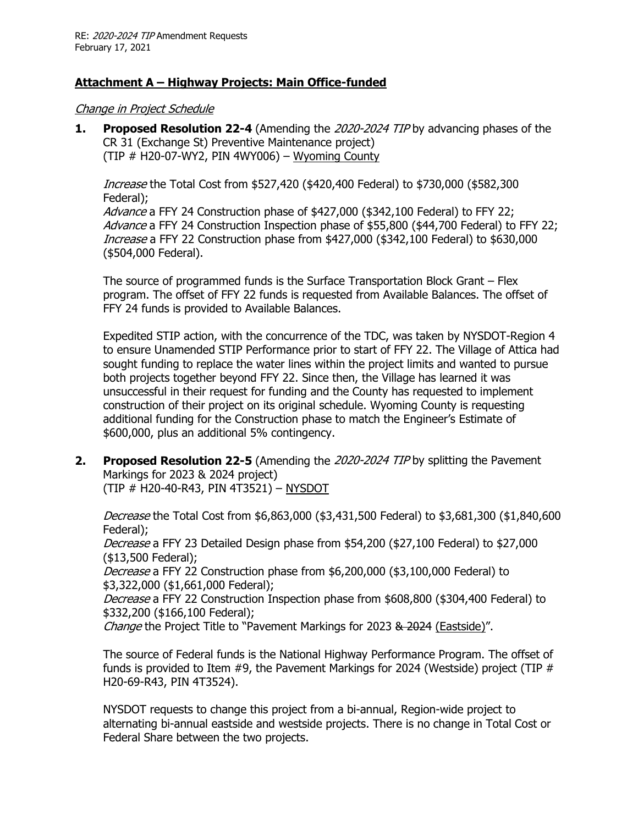# **Attachment A – Highway Projects: Main Office-funded**

Change in Project Schedule

**1. Proposed Resolution 22-4** (Amending the 2020-2024 TIP by advancing phases of the CR 31 (Exchange St) Preventive Maintenance project) (TIP  $#$  H20-07-WY2, PIN 4WY006) – Wyoming County

Increase the Total Cost from \$527,420 (\$420,400 Federal) to \$730,000 (\$582,300 Federal); Advance a FFY 24 Construction phase of \$427,000 (\$342,100 Federal) to FFY 22; Advance a FFY 24 Construction Inspection phase of \$55,800 (\$44,700 Federal) to FFY 22; Increase a FFY 22 Construction phase from \$427,000 (\$342,100 Federal) to \$630,000 (\$504,000 Federal).

The source of programmed funds is the Surface Transportation Block Grant – Flex program. The offset of FFY 22 funds is requested from Available Balances. The offset of FFY 24 funds is provided to Available Balances.

Expedited STIP action, with the concurrence of the TDC, was taken by NYSDOT-Region 4 to ensure Unamended STIP Performance prior to start of FFY 22. The Village of Attica had sought funding to replace the water lines within the project limits and wanted to pursue both projects together beyond FFY 22. Since then, the Village has learned it was unsuccessful in their request for funding and the County has requested to implement construction of their project on its original schedule. Wyoming County is requesting additional funding for the Construction phase to match the Engineer's Estimate of \$600,000, plus an additional 5% contingency.

**2. Proposed Resolution 22-5** (Amending the 2020-2024 TIP by splitting the Pavement Markings for 2023 & 2024 project) (TIP # H20-40-R43, PIN 4T3521) – NYSDOT

Decrease the Total Cost from \$6,863,000 (\$3,431,500 Federal) to \$3,681,300 (\$1,840,600 Federal); Decrease a FFY 23 Detailed Design phase from \$54,200 (\$27,100 Federal) to \$27,000 (\$13,500 Federal); Decrease a FFY 22 Construction phase from \$6,200,000 (\$3,100,000 Federal) to \$3,322,000 (\$1,661,000 Federal); Decrease a FFY 22 Construction Inspection phase from \$608,800 (\$304,400 Federal) to \$332,200 (\$166,100 Federal); Change the Project Title to "Pavement Markings for 2023 & 2024 (Eastside)".

The source of Federal funds is the National Highway Performance Program. The offset of funds is provided to Item  $#9$ , the Pavement Markings for 2024 (Westside) project (TIP  $#$ H20-69-R43, PIN 4T3524).

NYSDOT requests to change this project from a bi-annual, Region-wide project to alternating bi-annual eastside and westside projects. There is no change in Total Cost or Federal Share between the two projects.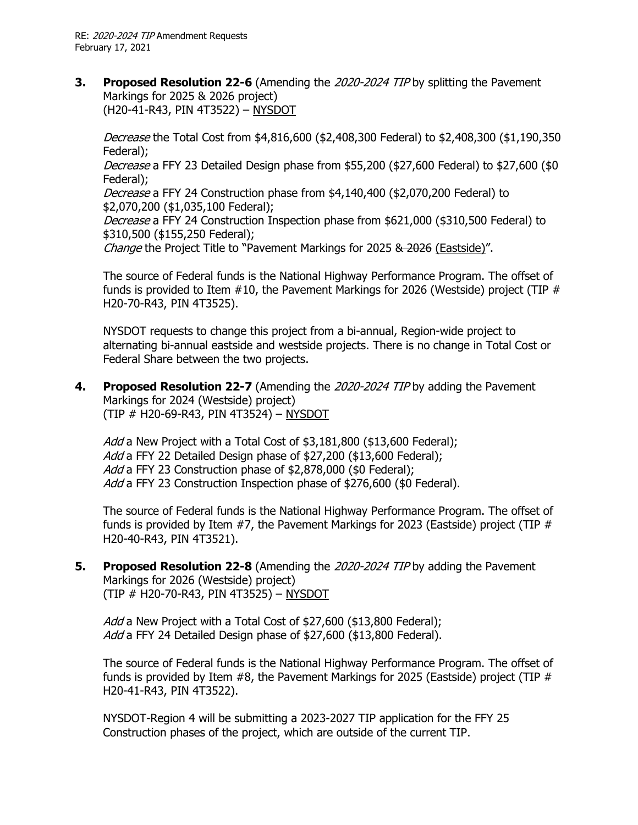**3. Proposed Resolution 22-6** (Amending the 2020-2024 TIP by splitting the Pavement Markings for 2025 & 2026 project) (H20-41-R43, PIN 4T3522) – NYSDOT

Decrease the Total Cost from \$4,816,600 (\$2,408,300 Federal) to \$2,408,300 (\$1,190,350 Federal);

Decrease a FFY 23 Detailed Design phase from \$55,200 (\$27,600 Federal) to \$27,600 (\$0 Federal);

Decrease a FFY 24 Construction phase from \$4,140,400 (\$2,070,200 Federal) to \$2,070,200 (\$1,035,100 Federal);

Decrease a FFY 24 Construction Inspection phase from \$621,000 (\$310,500 Federal) to \$310,500 (\$155,250 Federal);

Change the Project Title to "Pavement Markings for 2025 & 2026 (Eastside)".

The source of Federal funds is the National Highway Performance Program. The offset of funds is provided to Item #10, the Pavement Markings for 2026 (Westside) project (TIP # H20-70-R43, PIN 4T3525).

NYSDOT requests to change this project from a bi-annual, Region-wide project to alternating bi-annual eastside and westside projects. There is no change in Total Cost or Federal Share between the two projects.

**4. Proposed Resolution 22-7** (Amending the 2020-2024 TIP by adding the Pavement Markings for 2024 (Westside) project) (TIP # H20-69-R43, PIN 4T3524) – NYSDOT

Add a New Project with a Total Cost of \$3,181,800 (\$13,600 Federal); Add a FFY 22 Detailed Design phase of \$27,200 (\$13,600 Federal); Add a FFY 23 Construction phase of \$2,878,000 (\$0 Federal); Add a FFY 23 Construction Inspection phase of \$276,600 (\$0 Federal).

The source of Federal funds is the National Highway Performance Program. The offset of funds is provided by Item  $#7$ , the Pavement Markings for 2023 (Eastside) project (TIP  $#$ H20-40-R43, PIN 4T3521).

**5. Proposed Resolution 22-8** (Amending the 2020-2024 TIP by adding the Pavement Markings for 2026 (Westside) project) (TIP # H20-70-R43, PIN 4T3525) – NYSDOT

Add a New Project with a Total Cost of \$27,600 (\$13,800 Federal); Add a FFY 24 Detailed Design phase of \$27,600 (\$13,800 Federal).

The source of Federal funds is the National Highway Performance Program. The offset of funds is provided by Item  $#8$ , the Pavement Markings for 2025 (Eastside) project (TIP  $#$ H20-41-R43, PIN 4T3522).

NYSDOT-Region 4 will be submitting a 2023-2027 TIP application for the FFY 25 Construction phases of the project, which are outside of the current TIP.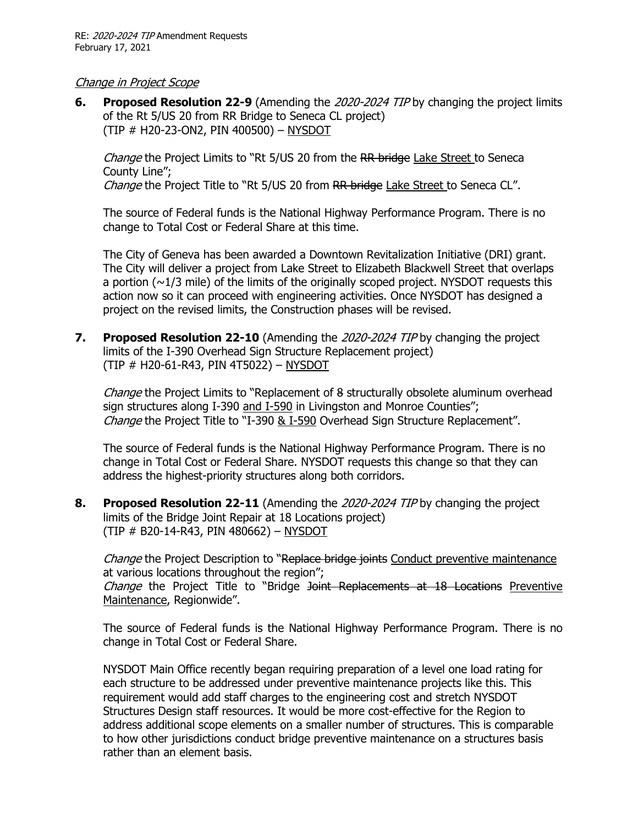#### Change in Project Scope

**6. Proposed Resolution 22-9** (Amending the 2020-2024 TIP by changing the project limits of the Rt 5/US 20 from RR Bridge to Seneca CL project) (TIP # H20-23-ON2, PIN 400500) – NYSDOT

Change the Project Limits to "Rt 5/US 20 from the RR bridge Lake Street to Seneca County Line";

Change the Project Title to "Rt 5/US 20 from RR bridge Lake Street to Seneca CL".

The source of Federal funds is the National Highway Performance Program. There is no change to Total Cost or Federal Share at this time.

The City of Geneva has been awarded a Downtown Revitalization Initiative (DRI) grant. The City will deliver a project from Lake Street to Elizabeth Blackwell Street that overlaps a portion  $(\sim 1/3$  mile) of the limits of the originally scoped project. NYSDOT requests this action now so it can proceed with engineering activities. Once NYSDOT has designed a project on the revised limits, the Construction phases will be revised.

**7. Proposed Resolution 22-10** (Amending the 2020-2024 TIP by changing the project limits of the I-390 Overhead Sign Structure Replacement project) (TIP # H20-61-R43, PIN 4T5022) – NYSDOT

Change the Project Limits to "Replacement of 8 structurally obsolete aluminum overhead sign structures along I-390 and I-590 in Livingston and Monroe Counties"; Change the Project Title to "I-390 & I-590 Overhead Sign Structure Replacement".

The source of Federal funds is the National Highway Performance Program. There is no change in Total Cost or Federal Share. NYSDOT requests this change so that they can address the highest-priority structures along both corridors.

**8. Proposed Resolution 22-11** (Amending the 2020-2024 TIP by changing the project limits of the Bridge Joint Repair at 18 Locations project) (TIP # B20-14-R43, PIN 480662) – NYSDOT

*Change* the Project Description to "Replace bridge joints Conduct preventive maintenance at various locations throughout the region";

Change the Project Title to "Bridge <del>Joint Replacements at 18 Locations</del> Preventive Maintenance, Regionwide".

The source of Federal funds is the National Highway Performance Program. There is no change in Total Cost or Federal Share.

NYSDOT Main Office recently began requiring preparation of a level one load rating for each structure to be addressed under preventive maintenance projects like this. This requirement would add staff charges to the engineering cost and stretch NYSDOT Structures Design staff resources. It would be more cost-effective for the Region to address additional scope elements on a smaller number of structures. This is comparable to how other jurisdictions conduct bridge preventive maintenance on a structures basis rather than an element basis.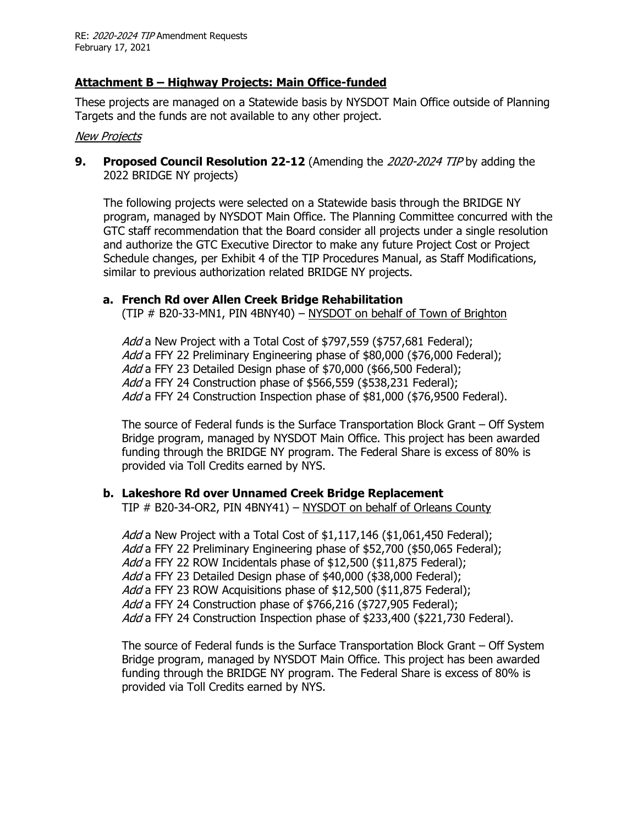# **Attachment B – Highway Projects: Main Office-funded**

These projects are managed on a Statewide basis by NYSDOT Main Office outside of Planning Targets and the funds are not available to any other project.

#### New Projects

**9. Proposed Council Resolution 22-12** (Amending the 2020-2024 TIP by adding the 2022 BRIDGE NY projects)

The following projects were selected on a Statewide basis through the BRIDGE NY program, managed by NYSDOT Main Office. The Planning Committee concurred with the GTC staff recommendation that the Board consider all projects under a single resolution and authorize the GTC Executive Director to make any future Project Cost or Project Schedule changes, per Exhibit 4 of the TIP Procedures Manual, as Staff Modifications, similar to previous authorization related BRIDGE NY projects.

#### **a. French Rd over Allen Creek Bridge Rehabilitation**

(TIP # B20-33-MN1, PIN 4BNY40) – NYSDOT on behalf of Town of Brighton

Add a New Project with a Total Cost of \$797,559 (\$757,681 Federal); Add a FFY 22 Preliminary Engineering phase of \$80,000 (\$76,000 Federal); Add a FFY 23 Detailed Design phase of \$70,000 (\$66,500 Federal); Add a FFY 24 Construction phase of \$566,559 (\$538,231 Federal); Add a FFY 24 Construction Inspection phase of \$81,000 (\$76,9500 Federal).

The source of Federal funds is the Surface Transportation Block Grant – Off System Bridge program, managed by NYSDOT Main Office. This project has been awarded funding through the BRIDGE NY program. The Federal Share is excess of 80% is provided via Toll Credits earned by NYS.

# **b. Lakeshore Rd over Unnamed Creek Bridge Replacement**

TIP # B20-34-OR2, PIN 4BNY41) – NYSDOT on behalf of Orleans County

Add a New Project with a Total Cost of \$1,117,146 (\$1,061,450 Federal); Add a FFY 22 Preliminary Engineering phase of \$52,700 (\$50,065 Federal); Add a FFY 22 ROW Incidentals phase of \$12,500 (\$11,875 Federal); Add a FFY 23 Detailed Design phase of \$40,000 (\$38,000 Federal); Add a FFY 23 ROW Acquisitions phase of \$12,500 (\$11,875 Federal); Add a FFY 24 Construction phase of \$766,216 (\$727,905 Federal); Add a FFY 24 Construction Inspection phase of \$233,400 (\$221,730 Federal).

The source of Federal funds is the Surface Transportation Block Grant – Off System Bridge program, managed by NYSDOT Main Office. This project has been awarded funding through the BRIDGE NY program. The Federal Share is excess of 80% is provided via Toll Credits earned by NYS.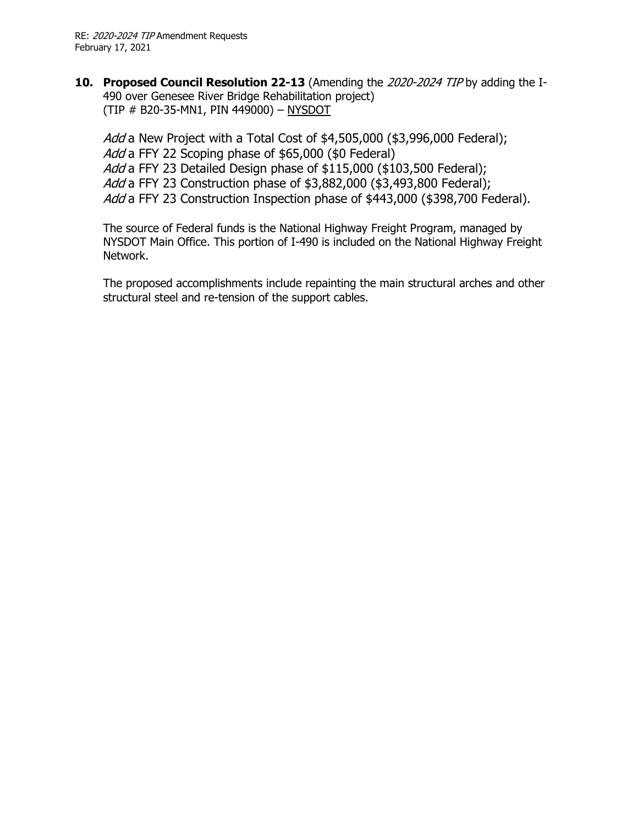**10. Proposed Council Resolution 22-13** (Amending the 2020-2024 TIP by adding the I-490 over Genesee River Bridge Rehabilitation project) (TIP # B20-35-MN1, PIN 449000) – NYSDOT

Add a New Project with a Total Cost of \$4,505,000 (\$3,996,000 Federal); Add a FFY 22 Scoping phase of \$65,000 (\$0 Federal) Add a FFY 23 Detailed Design phase of \$115,000 (\$103,500 Federal); Add a FFY 23 Construction phase of \$3,882,000 (\$3,493,800 Federal); Add a FFY 23 Construction Inspection phase of \$443,000 (\$398,700 Federal).

The source of Federal funds is the National Highway Freight Program, managed by NYSDOT Main Office. This portion of I-490 is included on the National Highway Freight Network.

The proposed accomplishments include repainting the main structural arches and other structural steel and re-tension of the support cables.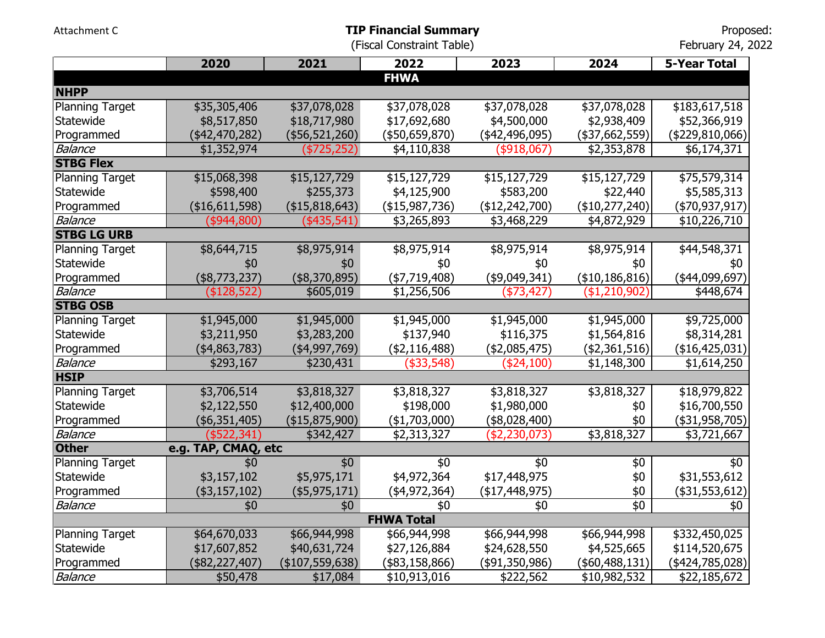Attachment C

February 24, 2022

|                        | 2020                | 2021               | 2022              | 2023              | 2024           | <b>5-Year Total</b> |
|------------------------|---------------------|--------------------|-------------------|-------------------|----------------|---------------------|
|                        |                     |                    | <b>FHWA</b>       |                   |                |                     |
| <b>NHPP</b>            |                     |                    |                   |                   |                |                     |
| <b>Planning Target</b> | \$35,305,406        | \$37,078,028       | \$37,078,028      | \$37,078,028      | \$37,078,028   | \$183,617,518       |
| Statewide              | \$8,517,850         | \$18,717,980       | \$17,692,680      | \$4,500,000       | \$2,938,409    | \$52,366,919        |
| Programmed             | (\$42,470,282)      | (\$56,521,260)     | (\$50,659,870)    | (\$42,496,095)    | (\$37,662,559) | (\$229,810,066)     |
| <b>Balance</b>         | \$1,352,974         | (\$725,252)        | \$4,110,838       | (\$918,067)       | \$2,353,878    | \$6,174,371         |
| <b>STBG Flex</b>       |                     |                    |                   |                   |                |                     |
| <b>Planning Target</b> | \$15,068,398        | \$15,127,729       | \$15,127,729      | \$15,127,729      | \$15,127,729   | \$75,579,314        |
| Statewide              | \$598,400           | \$255,373          | \$4,125,900       | \$583,200         | \$22,440       | \$5,585,313         |
| Programmed             | (\$16,611,598)      | (\$15,818,643)     | (\$15,987,736)    | (\$12,242,700)    | (\$10,277,240) | (\$70,937,917)      |
| <b>Balance</b>         | (\$944,800)         | (\$435,541)        | \$3,265,893       | \$3,468,229       | \$4,872,929    | \$10,226,710        |
| <b>STBG LG URB</b>     |                     |                    |                   |                   |                |                     |
| <b>Planning Target</b> | \$8,644,715         | \$8,975,914        | \$8,975,914       | \$8,975,914       | \$8,975,914    | \$44,548,371        |
| Statewide              | \$0                 | \$0                | \$0               | \$0               | \$0            | \$0                 |
| Programmed             | (\$8,773,237)       | (\$8,370,895)      | (\$7,719,408)     | (\$9,049,341)     | (\$10,186,816) | (\$44,099,697)      |
| <b>Balance</b>         | (\$128,522)         | \$605,019          | \$1,256,506       | (\$73,427)        | (\$1,210,902)  | \$448,674           |
| <b>STBG OSB</b>        |                     |                    |                   |                   |                |                     |
| <b>Planning Target</b> | \$1,945,000         | \$1,945,000        | \$1,945,000       | \$1,945,000       | \$1,945,000    | \$9,725,000         |
| Statewide              | \$3,211,950         | \$3,283,200        | \$137,940         | \$116,375         | \$1,564,816    | \$8,314,281         |
| Programmed             | (\$4,863,783)       | $(*4,997,769)$     | (\$2,116,488)     | (\$2,085,475)     | (\$2,361,516)  | (\$16,425,031)      |
| <b>Balance</b>         | \$293,167           | \$230,431          | ( \$33, 548)      | ( \$24, 100)      | \$1,148,300    | \$1,614,250         |
| <b>HSIP</b>            |                     |                    |                   |                   |                |                     |
| <b>Planning Target</b> | \$3,706,514         | \$3,818,327        | \$3,818,327       | \$3,818,327       | \$3,818,327    | \$18,979,822        |
| Statewide              | \$2,122,550         | \$12,400,000       | \$198,000         | \$1,980,000       | \$0            | \$16,700,550        |
| Programmed             | $($ \$6,351,405)    | (\$15,875,900)     | $(*1,703,000)$    | (\$8,028,400)     | \$0            | $($ \$31,958,705)   |
| <b>Balance</b>         | (\$522,341)         | \$342,427          | \$2,313,327       | (\$2,230,073)     | \$3,818,327    | \$3,721,667         |
| <b>Other</b>           | e.g. TAP, CMAQ, etc |                    |                   |                   |                |                     |
| <b>Planning Target</b> | \$0                 | \$0                | \$0               | \$0               | \$0            | \$0                 |
| Statewide              | \$3,157,102         | \$5,975,171        | \$4,972,364       | \$17,448,975      | \$0            | \$31,553,612        |
| Programmed             | $(*3,157,102)$      | $($ \$5,975,171)   | $(*4,972,364)$    | $($ \$17,448,975) | \$0            | $($ \$31,553,612)   |
| <b>Balance</b>         | \$0                 | \$0                | \$0               | \$0               | \$0            | \$0                 |
|                        |                     |                    | <b>FHWA Total</b> |                   |                |                     |
| <b>Planning Target</b> | \$64,670,033        | \$66,944,998       | \$66,944,998      | \$66,944,998      | \$66,944,998   | \$332,450,025       |
| Statewide              | \$17,607,852        | \$40,631,724       | \$27,126,884      | \$24,628,550      | \$4,525,665    | \$114,520,675       |
| Programmed             | (\$82,227,407)      | $($ \$107,559,638) | (\$83,158,866)    | (\$91,350,986)    | (\$60,488,131) | (\$424,785,028)     |
| <b>Balance</b>         | \$50,478            | \$17,084           | \$10,913,016      | \$222,562         | \$10,982,532   | \$22,185,672        |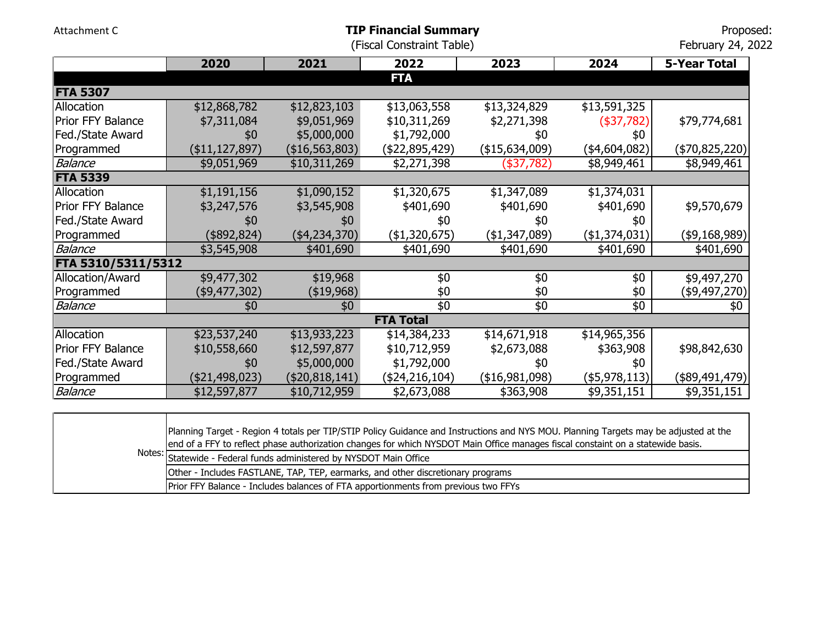|                    |                          |                | (Fiscal Constraint Table) |                 |                      | February 24, 2022   |
|--------------------|--------------------------|----------------|---------------------------|-----------------|----------------------|---------------------|
|                    | 2020                     | 2021           | 2022                      | 2023            | 2024                 | <b>5-Year Total</b> |
|                    |                          |                | <b>FTA</b>                |                 |                      |                     |
| <b>FTA 5307</b>    |                          |                |                           |                 |                      |                     |
| Allocation         | $\overline{$12,868,782}$ | \$12,823,103   | \$13,063,558              | \$13,324,829    | \$13,591,325         |                     |
| Prior FFY Balance  | \$7,311,084              | \$9,051,969    | \$10,311,269              | \$2,271,398     | (\$37,782)           | \$79,774,681        |
| Fed./State Award   | \$0                      | \$5,000,000    | \$1,792,000               | \$0             | \$0                  |                     |
| Programmed         | (\$11,127,897)           | (\$16,563,803) | (\$22,895,429)            | (\$15,634,009)  | (\$4,604,082)        | $(*70,825,220)$     |
| <b>Balance</b>     | \$9,051,969              | \$10,311,269   | \$2,271,398               | $($ \$37,782)   | \$8,949,461          | \$8,949,461         |
| <b>FTA 5339</b>    |                          |                |                           |                 |                      |                     |
| Allocation         | \$1,191,156              | \$1,090,152    | \$1,320,675               | \$1,347,089     | \$1,374,031          |                     |
| Prior FFY Balance  | \$3,247,576              | \$3,545,908    | \$401,690                 | \$401,690       | \$401,690            | \$9,570,679         |
| Fed./State Award   | \$0                      | \$0            | \$0                       | \$0             | \$0                  |                     |
| Programmed         | (\$892, 824)             | (\$4,234,370)  | (\$1,320,675)             | (\$1,347,089)   | (\$1,374,031)        | (\$9,168,989)       |
| <b>Balance</b>     | \$3,545,908              | \$401,690      | \$401,690                 | \$401,690       | \$401,690            | \$401,690           |
| FTA 5310/5311/5312 |                          |                |                           |                 |                      |                     |
| Allocation/Award   | \$9,477,302              | \$19,968       | \$0                       | \$0             | \$0                  | \$9,497,270         |
| Programmed         | (\$9,477,302)            | (\$19,968)     | \$0                       | \$0             | \$0                  | (\$9,497,270)       |
| <b>Balance</b>     | \$0                      | \$0            | \$0                       | $\overline{60}$ | \$0                  | \$0                 |
|                    |                          |                | <b>FTA Total</b>          |                 |                      |                     |
| Allocation         | \$23,537,240             | \$13,933,223   | \$14,384,233              | \$14,671,918    | \$14,965,356         |                     |
| Prior FFY Balance  | \$10,558,660             | \$12,597,877   | \$10,712,959              | \$2,673,088     | \$363,908            | \$98,842,630        |
| Fed./State Award   | \$0                      | \$5,000,000    | \$1,792,000               | \$0             | \$0                  |                     |
| Programmed         | (\$21,498,023)           | (\$20,818,141) | $(*24,216,104)$           | ( \$16,981,098) | $($ \$5,978,113) $ $ | $(*89,491,479)$     |
| <b>Balance</b>     | \$12,597,877             | \$10,712,959   | \$2,673,088               | \$363,908       | \$9,351,151          | \$9,351,151         |

**TIP Financial Summary**

Proposed:

Attachment C

| Planning Target - Region 4 totals per TIP/STIP Policy Guidance and Instructions and NYS MOU. Planning Targets may be adjusted at the<br>end of a FFY to reflect phase authorization changes for which NYSDOT Main Office manages fiscal constaint on a statewide basis. |
|-------------------------------------------------------------------------------------------------------------------------------------------------------------------------------------------------------------------------------------------------------------------------|
| Notes: Statewide - Federal funds administered by NYSDOT Main Office                                                                                                                                                                                                     |
| Other - Includes FASTLANE, TAP, TEP, earmarks, and other discretionary programs                                                                                                                                                                                         |
| Prior FFY Balance - Includes balances of FTA apportionments from previous two FFYs                                                                                                                                                                                      |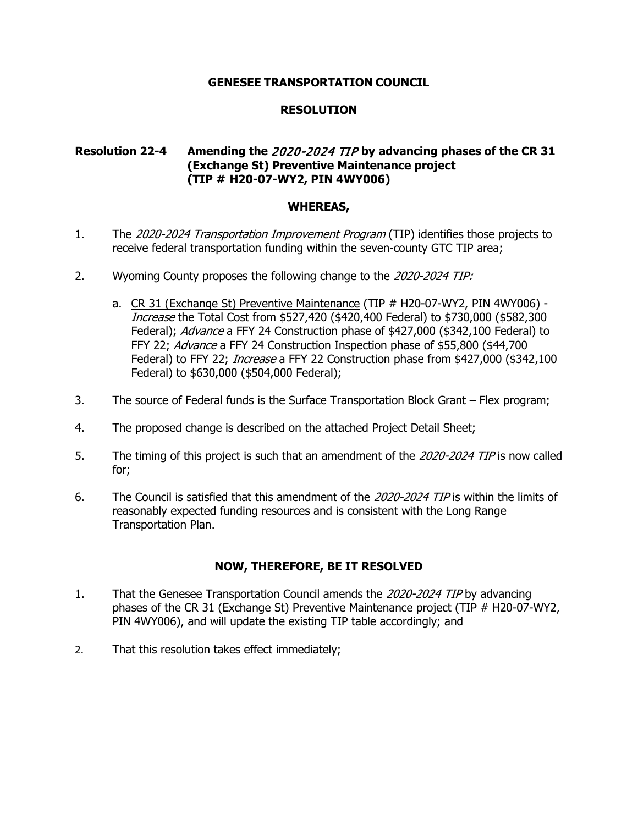## **RESOLUTION**

# **Resolution 22-4 Amending the** 2020-2024 TIP **by advancing phases of the CR 31 (Exchange St) Preventive Maintenance project (TIP # H20-07-WY2, PIN 4WY006)**

#### **WHEREAS,**

- 1. The 2020-2024 Transportation Improvement Program (TIP) identifies those projects to receive federal transportation funding within the seven-county GTC TIP area;
- 2. Wyoming County proposes the following change to the 2020-2024 TIP:
	- a. CR 31 (Exchange St) Preventive Maintenance (TIP # H20-07-WY2, PIN 4WY006) -Increase the Total Cost from \$527,420 (\$420,400 Federal) to \$730,000 (\$582,300 Federal); Advance a FFY 24 Construction phase of \$427,000 (\$342,100 Federal) to FFY 22; Advance a FFY 24 Construction Inspection phase of \$55,800 (\$44,700) Federal) to FFY 22; *Increase* a FFY 22 Construction phase from \$427,000 (\$342,100 Federal) to \$630,000 (\$504,000 Federal);
- 3. The source of Federal funds is the Surface Transportation Block Grant Flex program;
- 4. The proposed change is described on the attached Project Detail Sheet;
- 5. The timing of this project is such that an amendment of the 2020-2024 TIP is now called for;
- 6. The Council is satisfied that this amendment of the 2020-2024 TIP is within the limits of reasonably expected funding resources and is consistent with the Long Range Transportation Plan.

- 1. That the Genesee Transportation Council amends the 2020-2024 TIP by advancing phases of the CR 31 (Exchange St) Preventive Maintenance project (TIP # H20-07-WY2, PIN 4WY006), and will update the existing TIP table accordingly; and
- 2. That this resolution takes effect immediately;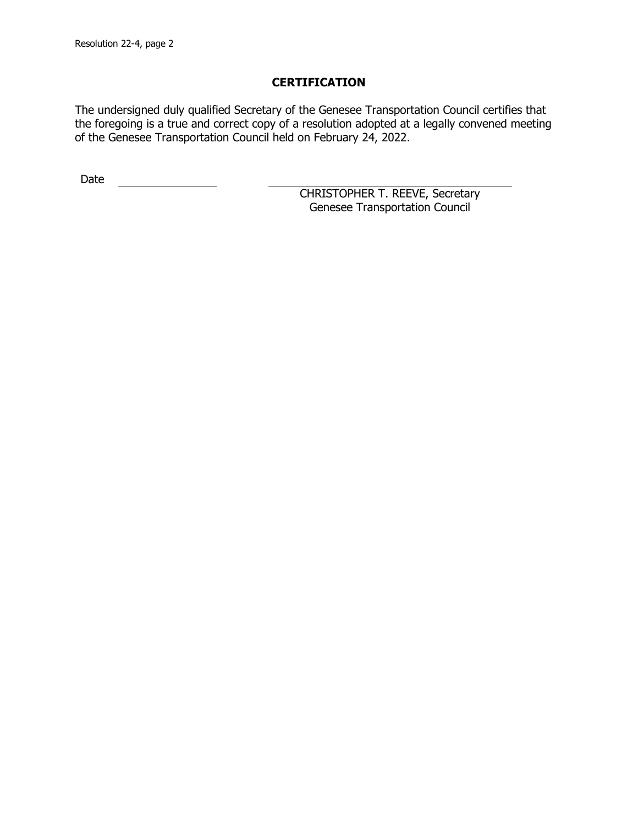The undersigned duly qualified Secretary of the Genesee Transportation Council certifies that the foregoing is a true and correct copy of a resolution adopted at a legally convened meeting of the Genesee Transportation Council held on February 24, 2022.

Date <u>\_\_\_\_\_\_\_\_\_\_\_\_\_\_</u>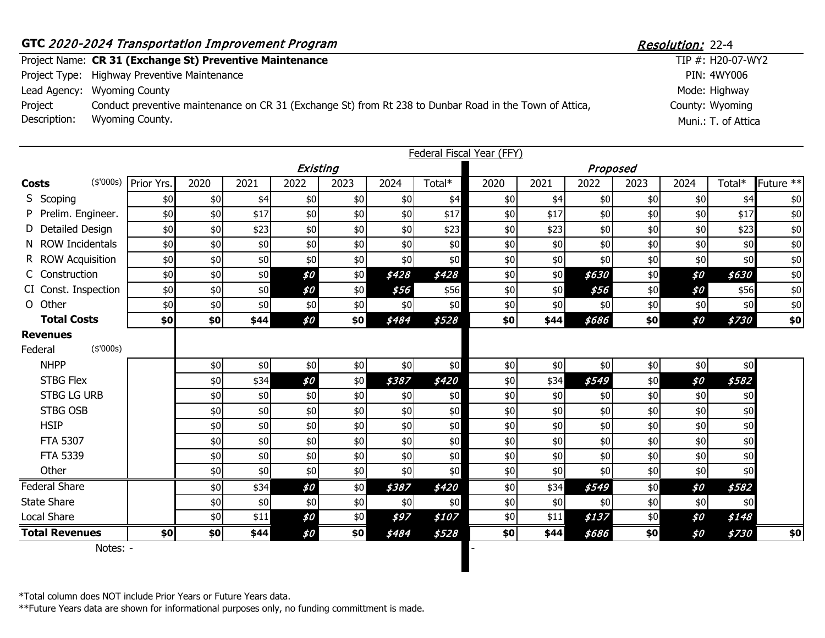|              | GTC 2020-2024 Transportation Improvement Program                                                        | Resolution: 22-4    |  |  |  |  |
|--------------|---------------------------------------------------------------------------------------------------------|---------------------|--|--|--|--|
|              | Project Name: CR 31 (Exchange St) Preventive Maintenance                                                | TIP #: H20-07-WY2   |  |  |  |  |
|              | Project Type: Highway Preventive Maintenance                                                            | PIN: 4WY006         |  |  |  |  |
|              | Lead Agency: Wyoming County                                                                             | Mode: Highway       |  |  |  |  |
| Project      | Conduct preventive maintenance on CR 31 (Exchange St) from Rt 238 to Dunbar Road in the Town of Attica, | County: Wyoming     |  |  |  |  |
| Description: | Wyoming County.                                                                                         | Muni.: T. of Attica |  |  |  |  |

|                                         |                      |      |      |          |      |       |        | <b>Federal Fiscal Year (FFY)</b> |       |          |       |       |        |             |
|-----------------------------------------|----------------------|------|------|----------|------|-------|--------|----------------------------------|-------|----------|-------|-------|--------|-------------|
|                                         |                      |      |      | Existing |      |       |        |                                  |       | Proposed |       |       |        |             |
| <b>Costs</b>                            | (\$'000s) Prior Yrs. | 2020 | 2021 | 2022     | 2023 | 2024  | Total* | 2020                             | 2021  | 2022     | 2023  | 2024  | Total* | Future $**$ |
| S Scoping                               | \$0                  | \$0  | \$4  | \$0      | \$0  | \$0   | \$4    | \$0                              | \$4   | \$0      | \$0   | \$0   | \$4    | \$0         |
| P Prelim. Engineer.                     | \$0                  | \$0  | \$17 | \$0      | \$0  | \$0   | \$17   | \$0                              | \$17  | \$0      | \$0   | \$0   | \$17   | \$0         |
| D Detailed Design                       | \$0                  | \$0  | \$23 | \$0      | \$0  | \$0   | \$23   | \$0                              | \$23  | \$0      | \$0   | \$0   | \$23   | \$0         |
| N ROW Incidentals                       | \$0                  | \$0  | \$0  | \$0\$    | \$0  | \$0   | \$0    | \$0                              | \$0   | \$0      | \$0   | \$0   | \$0    | \$0         |
| R ROW Acquisition                       | \$0                  | \$0  | \$0  | \$0      | \$0  | \$0   | \$0    | $$0$$                            | \$0   | \$0      | \$0   | \$0   | \$0    | \$0         |
| C Construction                          | \$0                  | \$0  | \$0  | \$0      | \$0  | \$428 | \$428  | \$0                              | \$0   | \$630    | \$0   | \$0   | \$630  | \$0         |
| CI Const. Inspection                    | \$0                  | \$0  | \$0  | \$0      | \$0  | \$56  | \$56   | \$0                              | \$0   | \$56     | \$0   | \$0   | \$56   | \$0         |
| O Other                                 | \$0                  | \$0  | \$0  | \$0      | \$0  | \$0   | \$0    | \$0                              | \$0   | \$0      | \$0   | \$0   | \$0    | \$0         |
| <b>Total Costs</b>                      | \$0                  | \$0  | \$44 | \$0      | \$0  | \$484 | \$528  | \$0                              | \$44  | \$686    | \$0   | \$0   | \$730  | \$0         |
| <b>Revenues</b><br>(\$7000s)<br>Federal |                      |      |      |          |      |       |        |                                  |       |          |       |       |        |             |
| <b>NHPP</b>                             |                      | \$0  | \$0  | \$0      | \$0  | \$0   | \$0    | $$0$$                            | $$0$$ | \$0      | \$0   | \$0   | \$0    |             |
| <b>STBG Flex</b>                        |                      | \$0  | \$34 | \$0      | \$0  | \$387 | \$420  | \$0                              | \$34  | \$549    | \$0   | \$0   | \$582  |             |
| <b>STBG LG URB</b>                      |                      | \$0  | \$0  | \$0      | \$0  | \$0   | \$0    | \$0                              | \$0   | \$0      | \$0   | \$0   | \$0    |             |
| STBG OSB                                |                      | \$0  | \$0  | \$0      | \$0  | \$0   | \$0    | \$0                              | \$0   | \$0      | \$0   | \$0   | \$0    |             |
| <b>HSIP</b>                             |                      | \$0  | \$0  | \$0      | \$0  | \$0   | \$0    | \$0                              | \$0   | \$0      | \$0   | \$0   | \$0    |             |
| <b>FTA 5307</b>                         |                      | \$0  | \$0  | \$0      | \$0  | \$0   | $$0$$  | $$0$$                            | $$0$$ | \$0      | \$0   | \$0   | \$0    |             |
| FTA 5339                                |                      | \$0  | \$0  | \$0      | \$0  | \$0   | \$0    | \$0                              | \$0   | \$0      | \$0   | \$0   | \$0    |             |
| Other                                   |                      | \$0  | \$0  | \$0      | \$0  | \$0   | \$0    | \$0                              | \$0   | \$0      | \$0   | \$0   | \$0    |             |
| <b>Federal Share</b>                    |                      | \$0  | \$34 | \$0      | \$0  | \$387 | \$420  | \$0                              | \$34  | \$549    | \$0   | \$0   | \$582  |             |
| <b>State Share</b>                      |                      | \$0  | \$0  | \$0      | \$0  | \$0   | \$0    | \$0                              | \$0   | \$0      | \$0   | \$0\$ | \$0    |             |
| Local Share                             |                      | \$0  | \$11 | \$0      | \$0  | \$97  | \$107  | $$0$$                            | \$11  | \$137    | $$0$$ | \$0   | \$148  |             |
| <b>Total Revenues</b>                   | \$0]                 | \$0  | \$44 | \$0      | \$0  | \$484 | \$528  | \$0                              | \$44  | \$686    | \$0   | \$0   | \$730  | \$0         |
| Notes: -                                |                      |      |      |          |      |       |        |                                  |       |          |       |       |        |             |

\*Total column does NOT include Prior Years or Future Years data.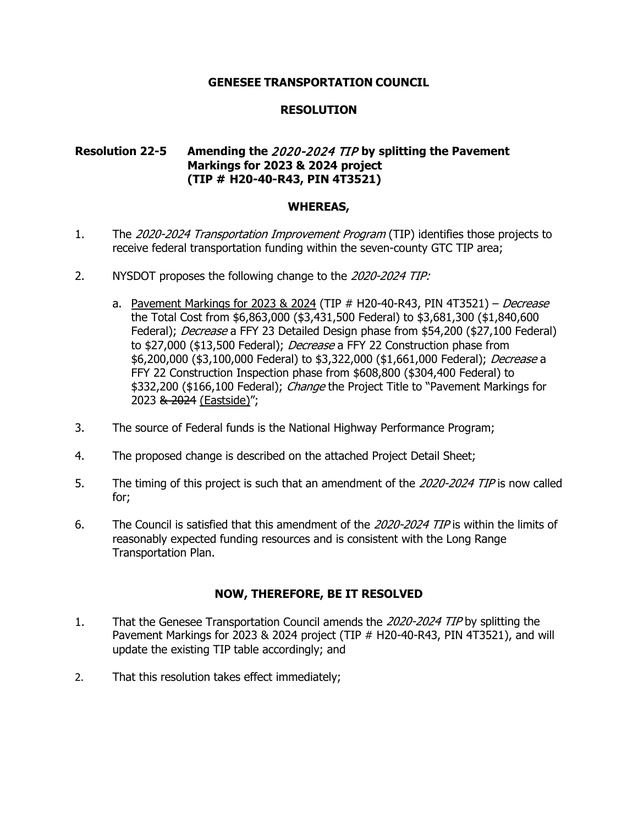# **RESOLUTION**

# **Resolution 22-5 Amending the** 2020-2024 TIP **by splitting the Pavement Markings for 2023 & 2024 project (TIP # H20-40-R43, PIN 4T3521)**

#### **WHEREAS,**

- 1. The 2020-2024 Transportation Improvement Program (TIP) identifies those projects to receive federal transportation funding within the seven-county GTC TIP area;
- 2. NYSDOT proposes the following change to the 2020-2024 TIP:
	- a. Pavement Markings for 2023 & 2024 (TIP  $#$  H20-40-R43, PIN 4T3521) Decrease the Total Cost from \$6,863,000 (\$3,431,500 Federal) to \$3,681,300 (\$1,840,600 Federal); Decrease a FFY 23 Detailed Design phase from \$54,200 (\$27,100 Federal) to \$27,000 (\$13,500 Federal); *Decrease* a FFY 22 Construction phase from \$6,200,000 (\$3,100,000 Federal) to \$3,322,000 (\$1,661,000 Federal); Decrease a FFY 22 Construction Inspection phase from \$608,800 (\$304,400 Federal) to \$332,200 (\$166,100 Federal); *Change* the Project Title to "Pavement Markings for 2023 & 2024 (Eastside)";
- 3. The source of Federal funds is the National Highway Performance Program;
- 4. The proposed change is described on the attached Project Detail Sheet;
- 5. The timing of this project is such that an amendment of the 2020-2024 TIP is now called for;
- 6. The Council is satisfied that this amendment of the 2020-2024 TIP is within the limits of reasonably expected funding resources and is consistent with the Long Range Transportation Plan.

- 1. That the Genesee Transportation Council amends the 2020-2024 TIP by splitting the Pavement Markings for 2023 & 2024 project (TIP # H20-40-R43, PIN 4T3521), and will update the existing TIP table accordingly; and
- 2. That this resolution takes effect immediately;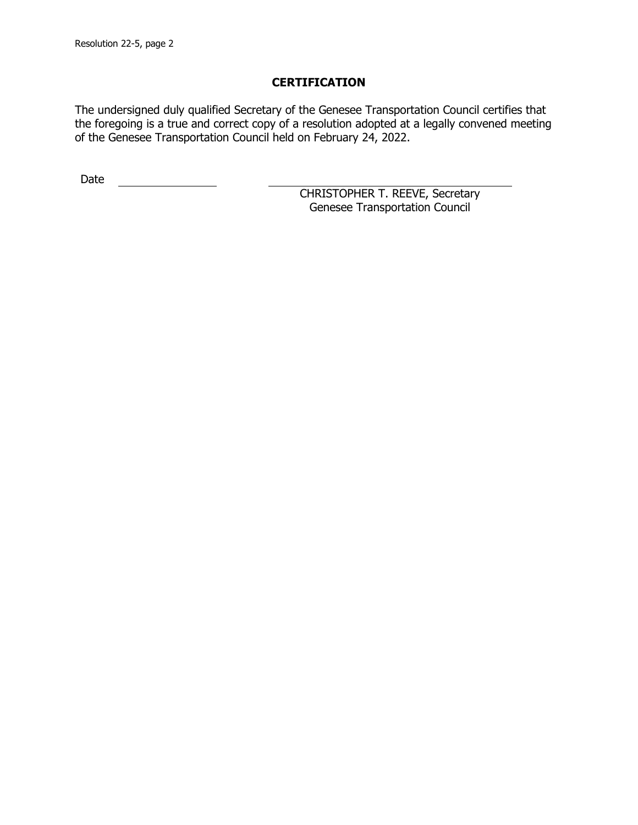The undersigned duly qualified Secretary of the Genesee Transportation Council certifies that the foregoing is a true and correct copy of a resolution adopted at a legally convened meeting of the Genesee Transportation Council held on February 24, 2022.

Date <u>\_\_\_\_\_\_\_\_\_\_\_\_\_\_</u>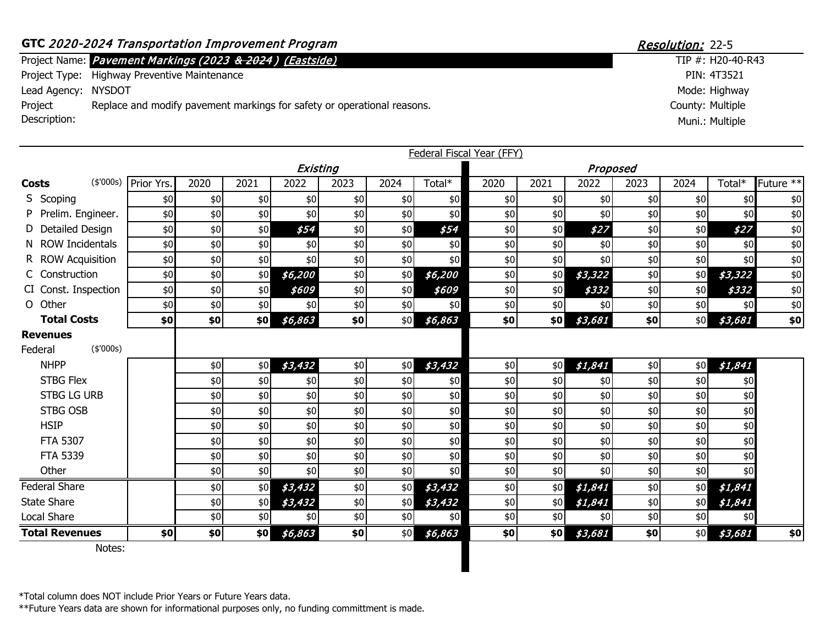# GTC 2020-2024 Transportation Improvement Program Resolution: 22-5

Project Name: TIP #: Pavement Markings (2023 & 2024 ) (Eastside)

Project Type: Highway Preventive Maintenance

Lead Agency: NYSDOT

Project Description: Replace and modify pavement markings for safety or operational reasons.

|                                         |            |      |      |          |       |      |         | Federal Fiscal Year (FFY) |      |         |      |      |         |                        |
|-----------------------------------------|------------|------|------|----------|-------|------|---------|---------------------------|------|---------|------|------|---------|------------------------|
|                                         |            |      |      | Existing |       |      |         | Proposed                  |      |         |      |      |         |                        |
| (\$'000s)<br><b>Costs</b>               | Prior Yrs. | 2020 | 2021 | 2022     | 2023  | 2024 | Total*  | 2020                      | 2021 | 2022    | 2023 | 2024 | Total*  | Future $*\overline{*}$ |
| S Scoping                               | \$0        | \$0  | \$0  | \$0      | \$0   | \$0  | \$0     | \$0                       | \$0  | \$0     | \$0  | \$0  | \$0     | \$0                    |
| P Prelim. Engineer.                     | \$0        | \$0  | \$0  | \$0      | \$0   | \$0  | \$0     | \$0                       | \$0  | \$0     | \$0  | \$0  | \$0     | \$0                    |
| D Detailed Design                       | \$0        | \$0  | \$0  | \$54     | $$0$$ | \$0  | \$54    | \$0                       | \$0  | \$27    | \$0  | \$0  | \$27    | \$0                    |
| N ROW Incidentals                       | \$0        | \$0  | \$0  | \$0      | \$0   | \$0  | \$0     | \$0                       | \$0  | \$0     | \$0  | \$0  | \$0     | $\$0$                  |
| R ROW Acquisition                       | \$0        | \$0  | \$0  | \$0      | \$0   | \$0  | \$0     | $$0$$                     | \$0  | \$0     | \$0  | \$0  | \$0     | $\$0$                  |
| C Construction                          | \$0        | \$0  | \$0  | \$6,200  | \$0   | \$0  | \$6,200 | \$0                       | \$0  | \$3,322 | \$0  | \$0  | \$3,322 | \$0                    |
| CI Const. Inspection                    | \$0        | \$0  | \$0  | \$609    | \$0   | \$0  | \$609   | \$0                       | \$0  | \$332   | \$0  | \$0  | \$332   | \$0                    |
| O Other                                 | \$0        | \$0  | \$0  | \$0      | \$0   | \$0  | \$0     | \$0                       | \$0  | \$0     | \$0  | \$0  | \$0     | $$0$                   |
| <b>Total Costs</b>                      | \$0        | \$0  | \$0  | \$6,863  | \$0   | \$0  | \$6,863 | \$0                       | \$0  | \$3,681 | \$0  | \$0  | \$3,681 | \$0                    |
| <b>Revenues</b><br>(\$'000s)<br>Federal |            |      |      |          |       |      |         |                           |      |         |      |      |         |                        |
| <b>NHPP</b>                             |            | \$0  | \$0  | \$3,432  | \$0   | \$0  | \$3,432 | \$0                       | \$0  | \$1,841 | \$0  | \$0  | \$1,841 |                        |
| <b>STBG Flex</b>                        |            | \$0  | \$0  | \$0      | \$0   | \$0  | \$0     | \$0                       | \$0  | \$0     | \$0  | \$0  | \$0     |                        |
| <b>STBG LG URB</b>                      |            | \$0  | \$0  | \$0      | $$0$$ | \$0  | \$0     | \$0                       | \$0  | \$0     | \$0  | \$0  | \$0     |                        |
| <b>STBG OSB</b>                         |            | \$0  | \$0  | \$0      | \$0   | \$0  | \$0     | \$0                       | \$0  | \$0     | \$0  | \$0  | \$0     |                        |
| <b>HSIP</b>                             |            | \$0  | \$0  | \$0      | \$0   | \$0  | \$0     | \$0                       | \$0  | \$0     | \$0  | \$0  | \$0     |                        |
| <b>FTA 5307</b>                         |            | \$0  | \$0  | \$0      | \$0   | \$0  | \$0     | \$0                       | \$0  | \$0     | \$0  | \$0  | \$0     |                        |
| FTA 5339                                |            | \$0  | \$0  | \$0      | \$0   | \$0  | \$0     | \$0                       | \$0  | \$0     | \$0  | \$0  | \$0     |                        |
| Other                                   |            | \$0  | \$0  | \$0      | \$0   | \$0  | \$0     | \$0                       | \$0  | \$0     | \$0  | \$0  | \$0     |                        |
| <b>Federal Share</b>                    |            | \$0  | \$0  | \$3,432  | \$0   | \$0  | \$3,432 | \$0                       | \$0  | \$1,841 | \$0  | \$0  | \$1,841 |                        |
| <b>State Share</b>                      |            | \$0  | \$0  | \$3,432  | \$0   | \$0  | \$3,432 | \$0                       | \$0  | \$1,841 | \$0  | \$0  | \$1,841 |                        |
| Local Share                             |            | \$0  | \$0  | \$0      | \$0   | \$0  | \$0     | \$0                       | \$0  | \$0     | \$0  | \$0  | \$0     |                        |
| <b>Total Revenues</b>                   | \$0        | \$0  | \$0  | \$6,863  | \$0   | \$0  | \$6,863 | \$0                       | \$0  | \$3,681 | \$0  | \$0  | \$3,681 | \$0                    |
| Notes:                                  |            |      |      |          |       |      |         |                           |      |         |      |      |         |                        |

County: Multiple  $TIP #: H20-40-R43$ PIN: 4T3521 Mode: Highway Muni.: Multiple

\*Total column does NOT include Prior Years or Future Years data.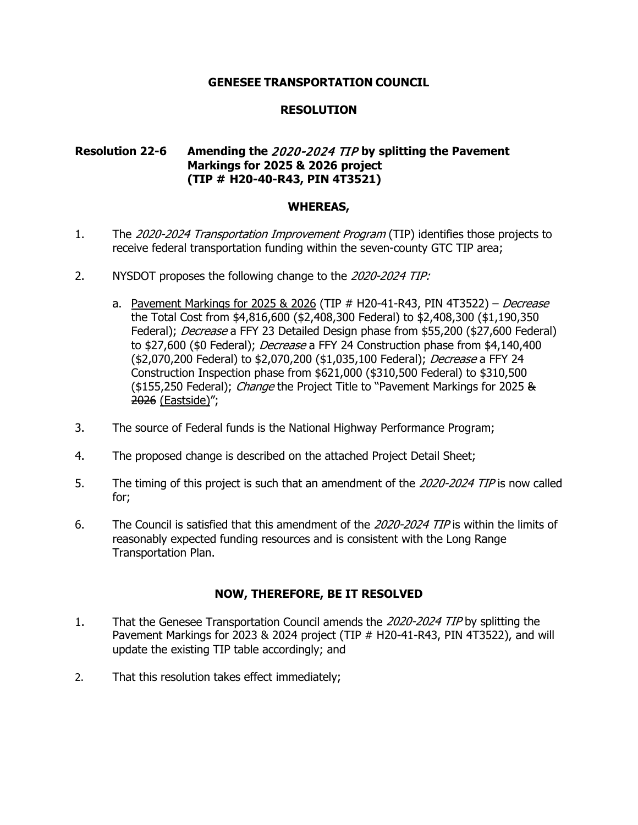# **RESOLUTION**

# **Resolution 22-6 Amending the** 2020-2024 TIP **by splitting the Pavement Markings for 2025 & 2026 project (TIP # H20-40-R43, PIN 4T3521)**

#### **WHEREAS,**

- 1. The 2020-2024 Transportation Improvement Program (TIP) identifies those projects to receive federal transportation funding within the seven-county GTC TIP area;
- 2. NYSDOT proposes the following change to the 2020-2024 TIP:
	- a. Pavement Markings for 2025 & 2026 (TIP  $#$  H20-41-R43, PIN 4T3522) Decrease the Total Cost from \$4,816,600 (\$2,408,300 Federal) to \$2,408,300 (\$1,190,350 Federal); Decrease a FFY 23 Detailed Design phase from \$55,200 (\$27,600 Federal) to \$27,600 (\$0 Federal); *Decrease* a FFY 24 Construction phase from \$4,140,400 (\$2,070,200 Federal) to \$2,070,200 (\$1,035,100 Federal); Decrease a FFY 24 Construction Inspection phase from \$621,000 (\$310,500 Federal) to \$310,500 (\$155,250 Federal); *Change* the Project Title to "Pavement Markings for 2025 & 2026 (Eastside)";
- 3. The source of Federal funds is the National Highway Performance Program;
- 4. The proposed change is described on the attached Project Detail Sheet;
- 5. The timing of this project is such that an amendment of the 2020-2024 TIP is now called for;
- 6. The Council is satisfied that this amendment of the 2020-2024 TIP is within the limits of reasonably expected funding resources and is consistent with the Long Range Transportation Plan.

- 1. That the Genesee Transportation Council amends the 2020-2024 TIP by splitting the Pavement Markings for 2023 & 2024 project (TIP # H20-41-R43, PIN 4T3522), and will update the existing TIP table accordingly; and
- 2. That this resolution takes effect immediately;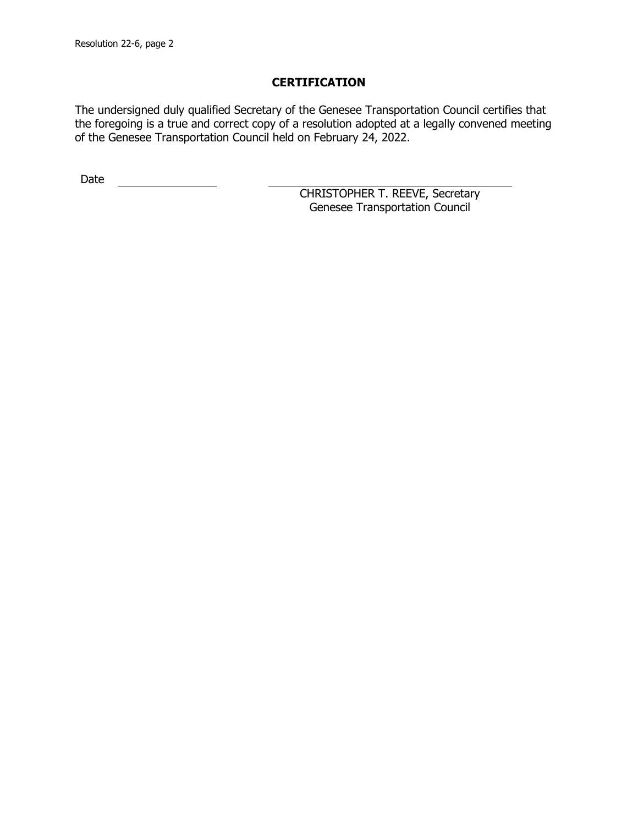The undersigned duly qualified Secretary of the Genesee Transportation Council certifies that the foregoing is a true and correct copy of a resolution adopted at a legally convened meeting of the Genesee Transportation Council held on February 24, 2022.

Date <u>\_\_\_\_\_\_\_\_\_\_\_\_\_\_</u>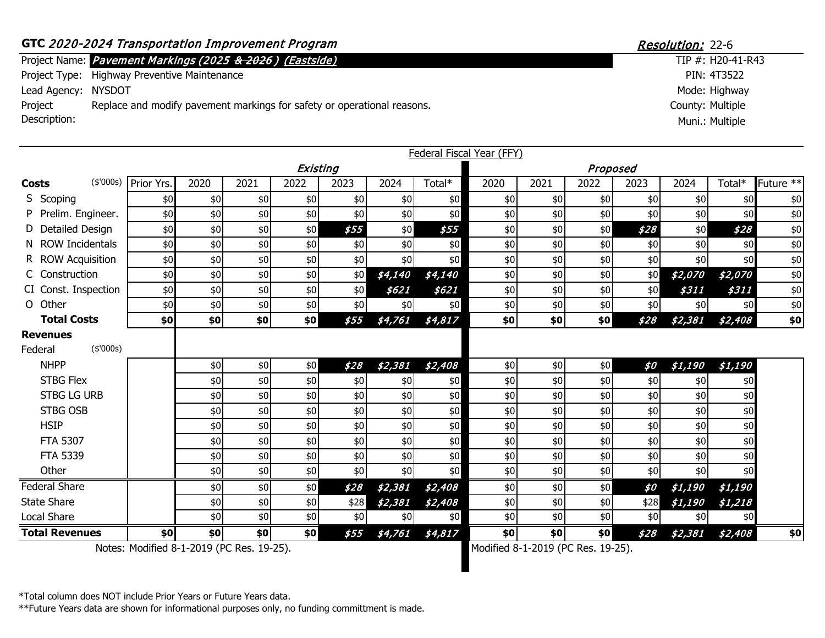# GTC 2020-2024 Transportation Improvement Program Resolution: 22-6

Project Name: TIP #: Pavement Markings (2025 & 2026 ) (Eastside)

Project Type: Highway Preventive Maintenance

Lead Agency: NYSDOT

Project Description: Replace and modify pavement markings for safety or operational reasons.

|                    |                       |            |       |       |          |       |         |         | Federal Fiscal Year (FFY) |      |          |      |                       |         |                        |
|--------------------|-----------------------|------------|-------|-------|----------|-------|---------|---------|---------------------------|------|----------|------|-----------------------|---------|------------------------|
|                    |                       |            |       |       | Existing |       |         |         |                           |      | Proposed |      |                       |         |                        |
| <b>Costs</b>       | (\$'000s)             | Prior Yrs. | 2020  | 2021  | 2022     | 2023  | 2024    | Total*  | 2020                      | 2021 | 2022     | 2023 | 2024                  | Total*  | Future $*\overline{*}$ |
| S Scoping          |                       | \$0        | \$0   | \$0   | \$0      | \$0   | \$0     | \$0     | \$0                       | \$0  | \$0      | \$0  | \$0                   | \$0     | \$0                    |
|                    | P Prelim. Engineer.   | \$0        | \$0   | $$0$$ | \$0      | \$0   | \$0     | \$0     | $$0$$                     | \$0  | \$0      | \$0  | \$0                   | \$0     | \$0                    |
|                    | D Detailed Design     | \$0        | \$0   | \$0   | \$0      | \$55  | \$0     | \$55    | \$0                       | \$0  | \$0      | \$28 | \$0                   | \$28    | \$0                    |
|                    | N ROW Incidentals     | \$0        | \$0   | \$0   | \$0      | \$0   | \$0     | \$0     | \$0                       | \$0  | \$0      | \$0  | \$0                   | \$0     | \$0                    |
|                    | R ROW Acquisition     | \$0        | \$0   | \$0   | \$0      | \$0   | \$0     | \$0     | \$0                       | \$0  | \$0      | \$0  | \$0                   | \$0     | \$0                    |
|                    | C Construction        | \$0        | $$0$$ | \$0   | \$0      | \$0   | \$4,140 | \$4,140 | $$0$$                     | \$0  | \$0      | \$0  | \$2,070               | \$2,070 | \$0                    |
|                    | CI Const. Inspection  | \$0        | \$0   | \$0   | \$0      | \$0   | \$621   | \$621   | \$0                       | \$0  | \$0      | \$0  | \$311                 | \$311   | \$0                    |
| O Other            |                       | \$0        | $$0$$ | \$0   | \$0      | \$0   | \$0     | \$0     | $$0$$                     | \$0  | \$0      | \$0  | \$0                   | \$0     | \$0                    |
|                    | <b>Total Costs</b>    | \$0        | \$0   | \$0   | \$0      | \$55  | \$4,761 | \$4,817 | \$0                       | \$0  | \$0      | \$28 | \$2,381               | \$2,408 | \$0                    |
| <b>Revenues</b>    |                       |            |       |       |          |       |         |         |                           |      |          |      |                       |         |                        |
| Federal            | (\$'000s)             |            |       |       |          |       |         |         |                           |      |          |      |                       |         |                        |
|                    | <b>NHPP</b>           |            | \$0   | \$0   | \$0      | \$28  | \$2,381 | \$2,408 | \$0                       | \$0  | \$0      | \$0  | <i><b>\$1,190</b></i> | \$1,190 |                        |
|                    | <b>STBG Flex</b>      |            | \$0   | \$0   | \$0      | \$0   | \$0     | \$0     | $$0$$                     | \$0  | \$0      | \$0  | \$0                   | \$0     |                        |
|                    | <b>STBG LG URB</b>    |            | \$0   | \$0   | \$0      | \$0   | \$0     | \$0     | \$0                       | \$0  | \$0      | \$0  | \$0                   | \$0     |                        |
|                    | <b>STBG OSB</b>       |            | \$0   | \$0   | \$0      | $$0$$ | \$0     | \$0     | $$0$$                     | \$0  | \$0      | \$0  | \$0                   | \$0     |                        |
| <b>HSIP</b>        |                       |            | \$0   | \$0   | \$0      | \$0   | \$0     | \$0     | \$0                       | \$0  | \$0      | \$0  | \$0                   | \$0     |                        |
|                    | <b>FTA 5307</b>       |            | \$0   | \$0   | \$0      | \$0   | \$0     | \$0     | \$0                       | \$0  | \$0      | \$0  | \$0                   | \$0     |                        |
|                    | FTA 5339              |            | \$0   | \$0   | \$0      | \$0   | \$0     | \$0     | \$0                       | \$0  | \$0      | \$0  | \$0                   | \$0     |                        |
|                    | Other                 |            | \$0   | \$0   | \$0      | \$0   | \$0     | \$0     | \$0                       | \$0  | \$0      | \$0  | \$0                   | \$0     |                        |
|                    | <b>Federal Share</b>  |            | \$0   | \$0   | \$0      | \$28  | \$2,381 | \$2,408 | \$0                       | \$0  | \$0      | \$0  | \$1,190               | \$1,190 |                        |
| <b>State Share</b> |                       |            | \$0   | $$0$  | \$0      | \$28  | \$2,381 | \$2,408 | \$0                       | \$0  | \$0      | \$28 | \$1,190               | \$1,218 |                        |
| Local Share        |                       |            | \$0   | \$0   | \$0      | \$0   | \$0     | \$0     | \$0                       | \$0  | \$0      | \$0  | \$0                   | \$0     |                        |
|                    | <b>Total Revenues</b> | \$0        | \$0   | \$0   | \$0      | \$55  | \$4,761 | \$4,817 | \$0                       | \$0  | \$0      | \$28 | \$2,381               | \$2,408 | \$0                    |

County: Multiple  $TIP #: H20-41-R43$ PIN: 4T3522 Mode: Highway Muni.: Multiple

Notes: Modified 8-1-2019 (PC Res. 19-25). Modified 8-1-2019 (PC Res. 19-25).

\*Total column does NOT include Prior Years or Future Years data.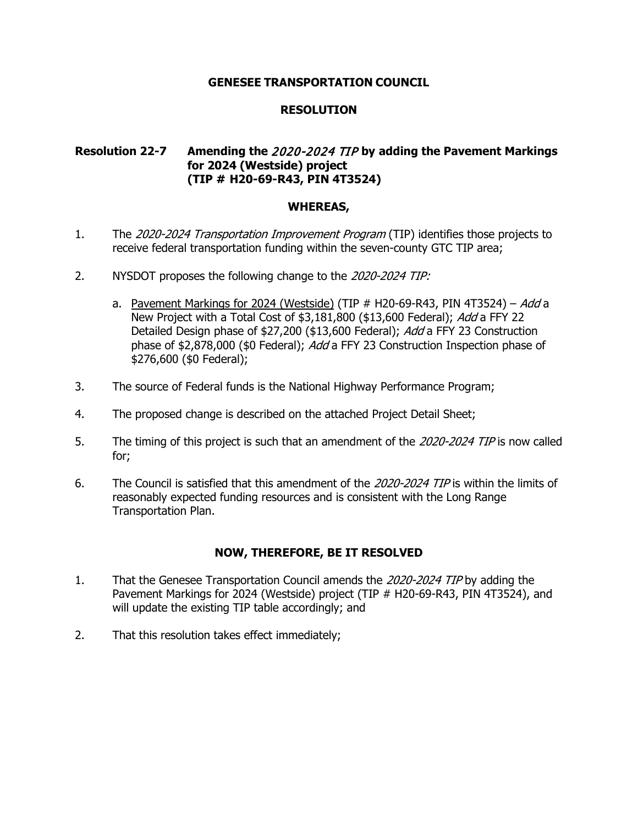## **RESOLUTION**

# **Resolution 22-7 Amending the** 2020-2024 TIP **by adding the Pavement Markings for 2024 (Westside) project (TIP # H20-69-R43, PIN 4T3524)**

#### **WHEREAS,**

- 1. The 2020-2024 Transportation Improvement Program (TIP) identifies those projects to receive federal transportation funding within the seven-county GTC TIP area;
- 2. NYSDOT proposes the following change to the 2020-2024 TIP:
	- a. Pavement Markings for 2024 (Westside) (TIP  $#$  H20-69-R43, PIN 4T3524) Add a New Project with a Total Cost of \$3,181,800 (\$13,600 Federal); Add a FFY 22 Detailed Design phase of \$27,200 (\$13,600 Federal); Add a FFY 23 Construction phase of \$2,878,000 (\$0 Federal); Add a FFY 23 Construction Inspection phase of \$276,600 (\$0 Federal);
- 3. The source of Federal funds is the National Highway Performance Program;
- 4. The proposed change is described on the attached Project Detail Sheet;
- 5. The timing of this project is such that an amendment of the 2020-2024 TIP is now called for;
- 6. The Council is satisfied that this amendment of the 2020-2024 TIP is within the limits of reasonably expected funding resources and is consistent with the Long Range Transportation Plan.

- 1. That the Genesee Transportation Council amends the 2020-2024 TIP by adding the Pavement Markings for 2024 (Westside) project (TIP # H20-69-R43, PIN 4T3524), and will update the existing TIP table accordingly; and
- 2. That this resolution takes effect immediately;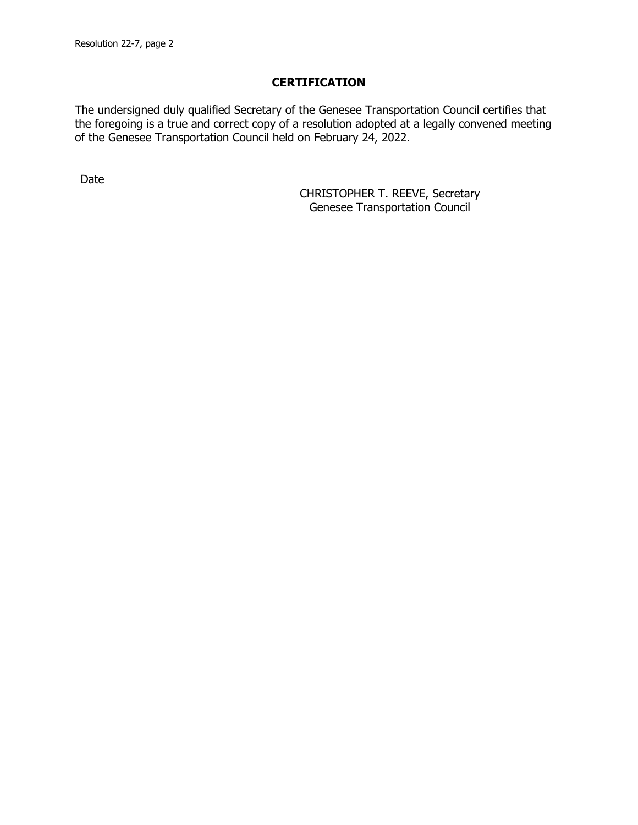The undersigned duly qualified Secretary of the Genesee Transportation Council certifies that the foregoing is a true and correct copy of a resolution adopted at a legally convened meeting of the Genesee Transportation Council held on February 24, 2022.

Date <u>\_\_\_\_\_\_\_\_\_\_\_\_\_\_</u>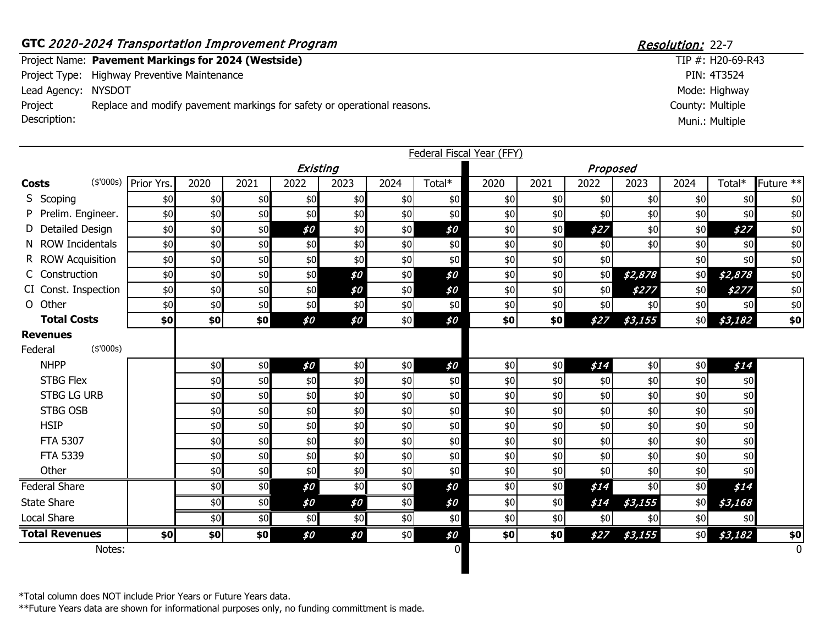#### **GTC** 2020-2024 Transportation Improvement Program Resolution: 22-7 Project Name: Pavement Markings for 2024 (Westside) Project Type: Highway Preventive Maintenance Lead Agency: NYSDOT County: Multiple  $TIP #: H20-69-R43$ PIN: 4T3524 Mode: Highway Project Description: Replace and modify pavement markings for safety or operational reasons. Muni.: Multiple

|                                         |            |       |               |          |      |       |          | <b>Federal Fiscal Year (FFY)</b> |      |          |         |      |         |                |
|-----------------------------------------|------------|-------|---------------|----------|------|-------|----------|----------------------------------|------|----------|---------|------|---------|----------------|
|                                         |            |       |               | Existing |      |       |          |                                  |      | Proposed |         |      |         |                |
| (\$'000s)<br><b>Costs</b>               | Prior Yrs. | 2020  | 2021          | 2022     | 2023 | 2024  | Total*   | 2020                             | 2021 | 2022     | 2023    | 2024 | Total*  | Future **      |
| S Scoping                               | \$0        | \$0   | \$0           | \$0      | \$0  | \$0   | \$0      | \$0                              | \$0  | \$0      | \$0     | \$0  | \$0     | $$0$$          |
| P Prelim. Engineer.                     | \$0        | \$0   | \$0           | \$0      | \$0  | \$0   | \$0      | \$0                              | \$0  | \$0      | \$0     | \$0  | \$0     | $\$0$          |
| D Detailed Design                       | \$0        | \$0   | \$0           | \$0      | \$0  | \$0   | \$0      | $$0$$                            | \$0  | \$27     | \$0     | \$0  | \$27    | $$0$$          |
| N ROW Incidentals                       | \$0        | \$0   | \$0           | \$0      | \$0  | \$0   | \$0      | \$0                              | \$0  | \$0      | \$0     | \$0  | \$0     | $$0$$          |
| R ROW Acquisition                       | \$0        | $$0$$ | \$0           | \$0      | \$0  | \$0   | \$0      | \$0                              | \$0  | \$0      |         | \$0  | \$0     | $\$0$          |
| C Construction                          | \$0        | \$0   | \$0           | \$0      | \$0  | \$0   | \$0      | $$0$$                            | \$0  | \$0      | \$2,878 | \$0  | \$2,878 | $$0$$          |
| CI Const. Inspection                    | \$0        | \$0   | \$0           | \$0      | \$0  | \$0\$ | \$0      | $$0$$                            | \$0  | \$0      | \$277   | \$0  | \$277   | $$0$$          |
| O Other                                 | \$0        | \$0   | \$0           | \$0      | \$0  | \$0   | \$0      | \$0                              | \$0  | \$0      | \$0     | \$0  | \$0     | $$0$$          |
| <b>Total Costs</b>                      | \$0        | \$0   | \$0           | \$0      | \$0  | \$0   | \$0      | \$0                              | \$0] | \$27     | \$3,155 | \$0  | \$3,182 | \$0            |
| <b>Revenues</b><br>(\$'000s)<br>Federal |            |       |               |          |      |       |          |                                  |      |          |         |      |         |                |
| <b>NHPP</b>                             |            | \$0   | \$0           | \$0      | \$0  | \$0   | \$0      | \$0                              | \$0  | \$14     | \$0     | \$0  | \$14    |                |
| <b>STBG Flex</b>                        |            | \$0   | \$0           | \$0      | \$0  | \$0   | \$0      | \$0                              | \$0  | \$0      | \$0     | \$0  | \$0     |                |
| <b>STBG LG URB</b>                      |            | \$0   | \$0           | \$0      | \$0  | \$0   | \$0      | \$0                              | \$0  | \$0      | \$0     | \$0  | \$0     |                |
| <b>STBG OSB</b>                         |            | \$0   | \$0           | \$0      | \$0  | \$0   | \$0      | $$0$$                            | \$0  | \$0      | \$0     | \$0  | \$0     |                |
| <b>HSIP</b>                             |            | \$0   | \$0           | \$0      | \$0  | \$0   | \$0      | \$0                              | \$0  | \$0      | \$0     | \$0  | \$0     |                |
| FTA 5307                                |            | \$0   | \$0           | \$0      | \$0  | \$0   | \$0      | $$0$$                            | \$0  | \$0      | \$0     | \$0  | \$0     |                |
| FTA 5339                                |            | \$0   | \$0           | \$0      | \$0  | \$0   | \$0      | $$0$$                            | \$0  | \$0      | \$0     | \$0  | \$0     |                |
| Other                                   |            | \$0   | \$0           | \$0      | \$0  | $$0$$ | \$0      | \$0                              | \$0  | \$0      | \$0     | \$0  | \$0     |                |
| <b>Federal Share</b>                    |            | \$0   | $\frac{1}{6}$ | \$0      | \$0  | \$0   | \$0      | \$0                              | \$0  | \$14     | \$0     | \$0  | \$14    |                |
| <b>State Share</b>                      |            | \$0   | \$0           | \$0      | \$0  | \$0   | \$0      | \$0                              | \$0  | \$14     | \$3,155 | \$0  | \$3,168 |                |
| Local Share                             |            | \$0   | \$0           | \$0      | \$0  | \$0   | \$0      | \$0                              | \$0  | \$0      | \$0     | \$0  | \$0     |                |
| <b>Total Revenues</b>                   | \$0]       | \$0   | \$0           | \$0      | \$0  | \$0   | \$0      | \$0                              | \$0  | \$27     | \$3,155 | \$0  | \$3,182 | \$0            |
| Notes:                                  |            |       |               |          |      |       | $\Omega$ |                                  |      |          |         |      |         | $\overline{0}$ |
|                                         |            |       |               |          |      |       |          |                                  |      |          |         |      |         |                |

\*Total column does NOT include Prior Years or Future Years data.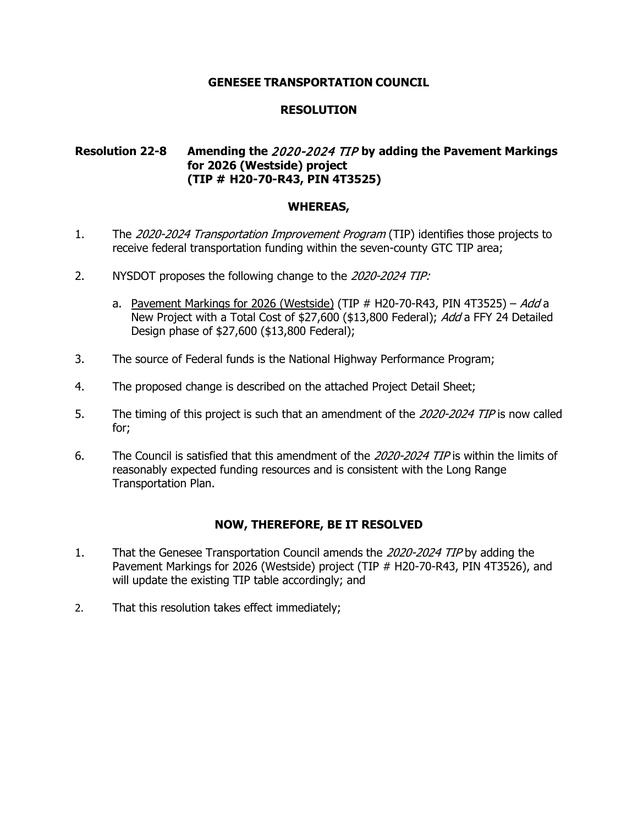## **RESOLUTION**

# **Resolution 22-8 Amending the** 2020-2024 TIP **by adding the Pavement Markings for 2026 (Westside) project (TIP # H20-70-R43, PIN 4T3525)**

#### **WHEREAS,**

- 1. The 2020-2024 Transportation Improvement Program (TIP) identifies those projects to receive federal transportation funding within the seven-county GTC TIP area;
- 2. NYSDOT proposes the following change to the 2020-2024 TIP:
	- a. Pavement Markings for 2026 (Westside) (TIP  $#$  H20-70-R43, PIN 4T3525) Add a New Project with a Total Cost of \$27,600 (\$13,800 Federal); Add a FFY 24 Detailed Design phase of \$27,600 (\$13,800 Federal);
- 3. The source of Federal funds is the National Highway Performance Program;
- 4. The proposed change is described on the attached Project Detail Sheet;
- 5. The timing of this project is such that an amendment of the 2020-2024 TIP is now called for;
- 6. The Council is satisfied that this amendment of the 2020-2024 TIP is within the limits of reasonably expected funding resources and is consistent with the Long Range Transportation Plan.

- 1. That the Genesee Transportation Council amends the 2020-2024 TIP by adding the Pavement Markings for 2026 (Westside) project (TIP # H20-70-R43, PIN 4T3526), and will update the existing TIP table accordingly; and
- 2. That this resolution takes effect immediately;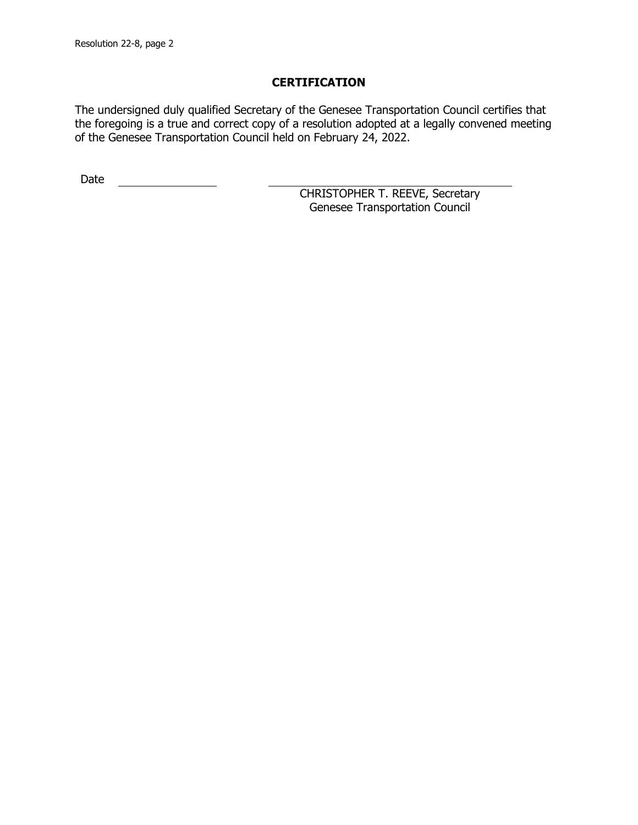The undersigned duly qualified Secretary of the Genesee Transportation Council certifies that the foregoing is a true and correct copy of a resolution adopted at a legally convened meeting of the Genesee Transportation Council held on February 24, 2022.

Date <u>\_\_\_\_\_\_\_\_\_\_\_\_\_\_</u>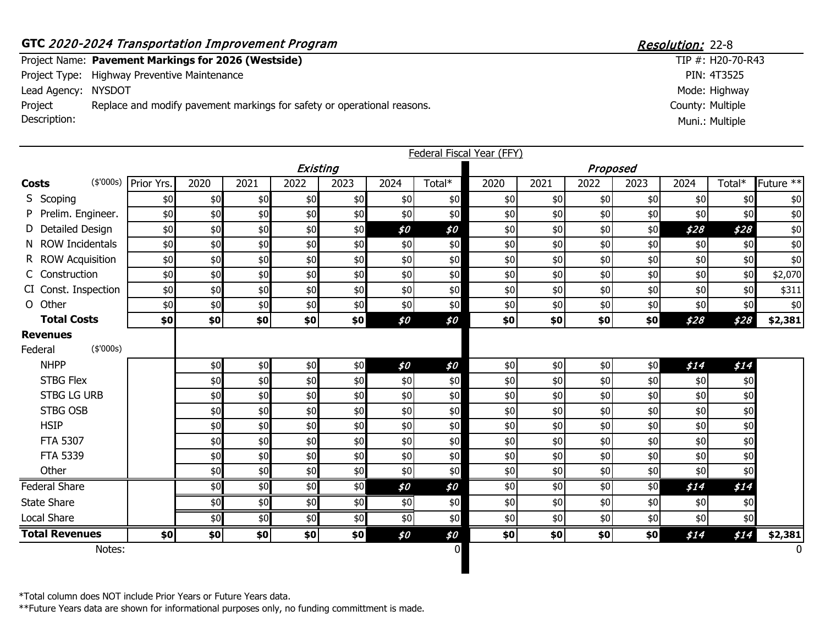#### GTC 2020-2024 Transportation Improvement Program Resolution: 22-8 Project Name: Pavement Markings for 2026 (Westside) Project Type: Highway Preventive Maintenance Lead Agency: NYSDOT County: Multiple  $TIP #: H20-70-R43$ PIN: 4T3525 Mode: Highway Project Description: Replace and modify pavement markings for safety or operational reasons. Muni.: Multiple

|                                         |            |       |      |               |      |      |        | <b>Federal Fiscal Year (FFY)</b> |       |          |       |      |        |           |
|-----------------------------------------|------------|-------|------|---------------|------|------|--------|----------------------------------|-------|----------|-------|------|--------|-----------|
|                                         |            |       |      | Existing      |      |      |        |                                  |       | Proposed |       |      |        |           |
| (\$'000s)<br><b>Costs</b>               | Prior Yrs. | 2020  | 2021 | 2022          | 2023 | 2024 | Total* | 2020                             | 2021  | 2022     | 2023  | 2024 | Total* | Future ** |
| S Scoping                               | \$0        | \$0   | \$0  | \$0           | \$0  | \$0  | \$0    | \$0                              | \$0   | \$0      | \$0   | \$0  | \$0    | $$0$$     |
| P Prelim. Engineer.                     | \$0        | \$0   | \$0  | \$0           | \$0  | \$0  | \$0    | \$0                              | \$0   | \$0      | \$0   | \$0  | \$0    | \$0       |
| D Detailed Design                       | \$0        | $$0$  | \$0  | \$0           | \$0  | \$0  | \$0    | $$0$$                            | \$0   | \$0      | \$0   | \$28 | \$28   | \$0       |
| N ROW Incidentals                       | \$0        | \$0   | \$0  | \$0           | \$0  | \$0  | \$0    | \$0                              | \$0   | \$0      | \$0   | \$0  | \$0    | \$0       |
| R ROW Acquisition                       | \$0        | $$0$$ | \$0  | \$0           | \$0  | \$0  | \$0    | $$0$$                            | \$0   | \$0      | $$0$$ | \$0  | \$0    | \$0       |
| C Construction                          | \$0        | $$0$$ | \$0  | \$0           | \$0  | \$0  | \$0    | \$0                              | \$0   | \$0      | \$0   | \$0  | \$0    | \$2,070   |
| CI Const. Inspection                    | \$0        | \$0   | \$0  | \$0           | \$0  | \$0  | \$0    | \$0                              | \$0   | \$0      | \$0   | \$0  | \$0    | \$311     |
| O Other                                 | \$0        | $$0$  | \$0  | \$0           | \$0  | \$0  | \$0    | \$0                              | \$0   | \$0      | $$0$$ | \$0  | \$0    | \$0       |
| <b>Total Costs</b>                      | \$0        | \$0   | \$0  | \$0           | \$0  | \$0  | \$0    | \$0                              | \$0   | \$0      | \$0   | \$28 | \$28   | \$2,381   |
| <b>Revenues</b><br>(\$'000s)<br>Federal |            |       |      |               |      |      |        |                                  |       |          |       |      |        |           |
| <b>NHPP</b>                             |            | $$0$  | \$0  | \$0           | \$0  | \$0  | \$0    | $$0$$                            | $$0$$ | \$0      | $$0$$ | \$14 | \$14   |           |
| <b>STBG Flex</b>                        |            | \$0   | \$0  | \$0           | \$0  | \$0  | \$0    | \$0                              | \$0   | \$0      | \$0   | \$0  | \$0    |           |
| <b>STBG LG URB</b>                      |            | \$0   | \$0  | \$0           | \$0  | \$0  | \$0    | \$0                              | \$0   | \$0      | $$0$$ | \$0  | \$0    |           |
| <b>STBG OSB</b>                         |            | $$0$  | \$0  | \$0           | \$0  | \$0  | \$0    | $$0$$                            | \$0   | \$0      | $$0$$ | \$0  | \$0    |           |
| <b>HSIP</b>                             |            | $$0$$ | \$0  | \$0           | \$0  | \$0  | \$0    | $$0$$                            | \$0   | \$0      | $$0$$ | \$0  | \$0    |           |
| FTA 5307                                |            | \$0   | \$0  | \$0           | \$0  | \$0  | \$0    | \$0                              | \$0   | \$0      | \$0   | \$0  | \$0    |           |
| FTA 5339                                |            | \$0   | \$0  | \$0           | \$0  | \$0  | \$0    | $$0$$                            | \$0   | \$0      | \$0   | \$0  | \$0    |           |
| Other                                   |            | \$0   | \$0  | \$0           | \$0  | \$0  | \$0    | \$0                              | \$0   | \$0      | \$0   | \$0  | \$0    |           |
| <b>Federal Share</b>                    |            | \$0   | \$0  | \$0           | \$0  | \$0  | \$0    | \$0                              | \$0   | \$0      | \$0   | \$14 | \$14   |           |
| <b>State Share</b>                      |            | \$0   | \$0  | $\frac{4}{6}$ | \$0  | \$0  | \$0    | \$0                              | \$0   | \$0      | \$0   | \$0  | \$0    |           |
| Local Share                             |            | \$0   | \$0  | \$0           | \$0  | \$0  | \$0    | \$0                              | \$0   | \$0      | \$0   | \$0  | \$0    |           |
| <b>Total Revenues</b>                   | \$0        | \$0   | \$0  | \$0           | \$0  | \$0  | \$0    | \$0                              | \$0   | \$0      | \$0   | \$14 | \$14   | \$2,381   |
| Notes:                                  |            |       |      |               |      |      | 0      |                                  |       |          |       |      |        | $\Omega$  |
|                                         |            |       |      |               |      |      |        |                                  |       |          |       |      |        |           |

\*Total column does NOT include Prior Years or Future Years data.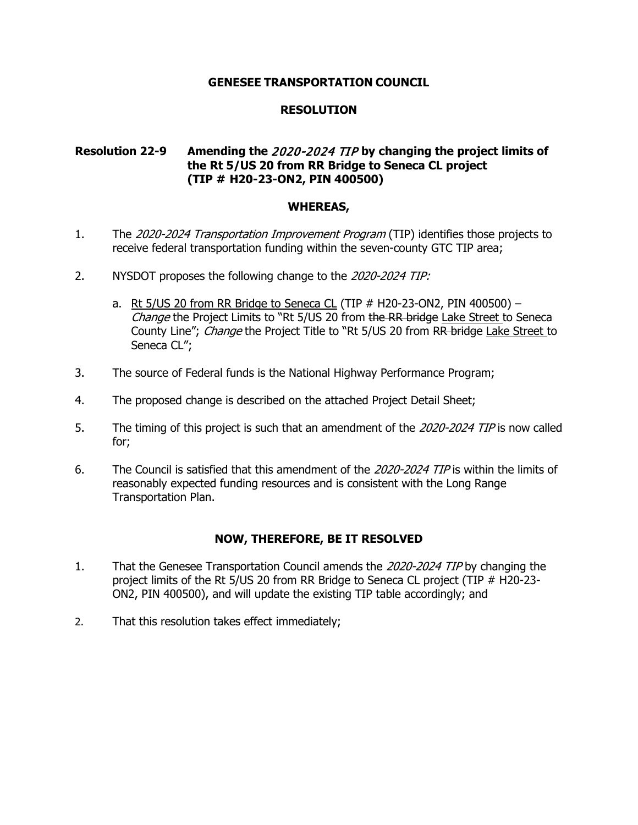## **RESOLUTION**

# **Resolution 22-9 Amending the** 2020-2024 TIP **by changing the project limits of the Rt 5/US 20 from RR Bridge to Seneca CL project (TIP # H20-23-ON2, PIN 400500)**

#### **WHEREAS,**

- 1. The 2020-2024 Transportation Improvement Program (TIP) identifies those projects to receive federal transportation funding within the seven-county GTC TIP area;
- 2. NYSDOT proposes the following change to the 2020-2024 TIP:
	- a. Rt  $5/US$  20 from RR Bridge to Seneca CL (TIP  $#$  H20-23-ON2, PIN 400500) Change the Project Limits to "Rt 5/US 20 from the RR bridge Lake Street to Seneca County Line"; *Change* the Project Title to "Rt 5/US 20 from RR bridge Lake Street to Seneca CL";
- 3. The source of Federal funds is the National Highway Performance Program;
- 4. The proposed change is described on the attached Project Detail Sheet;
- 5. The timing of this project is such that an amendment of the 2020-2024 TIP is now called for;
- 6. The Council is satisfied that this amendment of the 2020-2024 TIP is within the limits of reasonably expected funding resources and is consistent with the Long Range Transportation Plan.

- 1. That the Genesee Transportation Council amends the 2020-2024 TIP by changing the project limits of the Rt 5/US 20 from RR Bridge to Seneca CL project (TIP # H20-23- ON2, PIN 400500), and will update the existing TIP table accordingly; and
- 2. That this resolution takes effect immediately;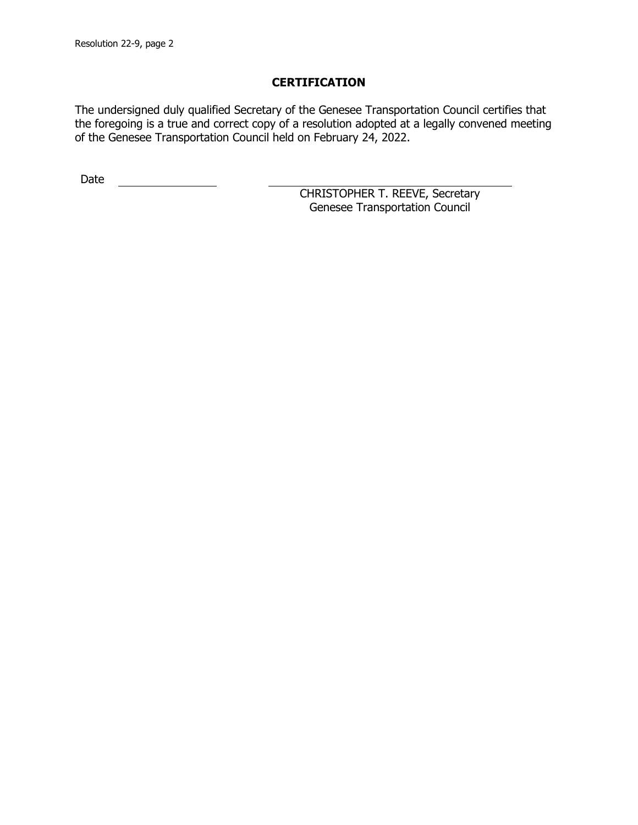The undersigned duly qualified Secretary of the Genesee Transportation Council certifies that the foregoing is a true and correct copy of a resolution adopted at a legally convened meeting of the Genesee Transportation Council held on February 24, 2022.

Date <u>\_\_\_\_\_\_\_\_\_\_\_\_\_\_</u>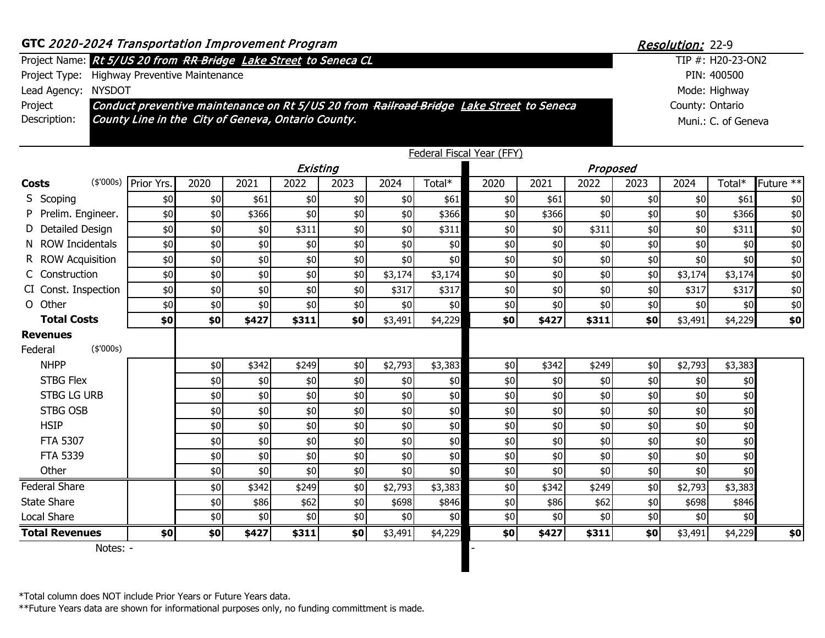| GTC 2020-2024 Transportation Improvement Program | Resolution: 22-9 |
|--------------------------------------------------|------------------|
|--------------------------------------------------|------------------|

#### Project Name: TIP #: Rt 5/US 20 from RR Bridge Lake Street to Seneca CL

Project Type: Highway Preventive Maintenance

Lead Agency: NYSDOT

Project Description: Conduct preventive maintenance on Rt 5/US 20 from Railroad Bridge Lake Street to Seneca County Line in the City of Geneva, Ontario County.

|       |                                         |            |       |       |          |       |         |         | <b>Federal Fiscal Year (FFY)</b> |       |          |       |         |         |             |
|-------|-----------------------------------------|------------|-------|-------|----------|-------|---------|---------|----------------------------------|-------|----------|-------|---------|---------|-------------|
|       |                                         |            |       |       | Existing |       |         |         |                                  |       | Proposed |       |         |         |             |
| Costs | (\$'000s)                               | Prior Yrs. | 2020  | 2021  | 2022     | 2023  | 2024    | Total*  | 2020                             | 2021  | 2022     | 2023  | 2024    | Total*  | Future $**$ |
|       | S Scoping                               | \$0        | \$0   | \$61  | \$0      | \$0   | \$0     | \$61    | \$0                              | \$61  | \$0      | \$0   | \$0     | \$61    | \$0         |
|       | P Prelim. Engineer.                     | \$0        | \$0   | \$366 | \$0      | \$0   | \$0     | \$366   | \$0                              | \$366 | \$0      | \$0   | \$0     | \$366   | \$0         |
|       | D Detailed Design                       | \$0        | \$0   | \$0   | \$311    | \$0   | \$0     | \$311   | \$0                              | \$0   | \$311    | \$0   | \$0     | \$311   | \$0         |
|       | N ROW Incidentals                       | \$0        | \$0   | \$0   | \$0      | $$0$$ | \$0     | \$0     | \$0                              | \$0   | \$0      | $\$0$ | \$0     | \$0     | \$0         |
|       | R ROW Acquisition                       | \$0        | \$0   | \$0   | \$0      | \$0   | \$0     | \$0     | \$0                              | \$0   | \$0      | $$0$$ | \$0     | \$0     | \$0         |
|       | C Construction                          | \$0        | $$0$$ | \$0   | \$0      | \$0   | \$3,174 | \$3,174 | \$0                              | \$0   | \$0      | \$0   | \$3,174 | \$3,174 | \$0         |
|       | CI Const. Inspection                    | \$0        | \$0   | \$0   | \$0      | \$0   | \$317   | \$317   | \$0                              | \$0   | \$0]     | \$0   | \$317   | \$317   | \$0         |
|       | O Other                                 | \$0        | \$0   | \$0   | \$0      | \$0   | \$0     | \$0     | \$0                              | \$0   | \$0      | $$0$$ | \$0     | \$0     | \$0         |
|       | <b>Total Costs</b>                      | \$0        | \$0   | \$427 | \$311    | \$0   | \$3,491 | \$4,229 | \$0                              | \$427 | \$311    | \$0   | \$3,491 | \$4,229 | \$0         |
|       | <b>Revenues</b><br>(\$'000s)<br>Federal |            |       |       |          |       |         |         |                                  |       |          |       |         |         |             |
|       | <b>NHPP</b>                             |            | \$0   | \$342 | \$249    | \$0   | \$2,793 | \$3,383 | \$0                              | \$342 | \$249    | \$0   | \$2,793 | \$3,383 |             |
|       | <b>STBG Flex</b>                        |            | \$0   | \$0   | \$0      | \$0   | \$0     | \$0     | \$0\$                            | \$0   | \$0      | $$0$$ | \$0     | \$0     |             |
|       | <b>STBG LG URB</b>                      |            | \$0   | \$0   | \$0      | \$0   | \$0     | \$0     | \$0                              | \$0   | \$0      | \$0   | \$0     | \$0     |             |
|       | <b>STBG OSB</b>                         |            | \$0   | \$0   | \$0      | \$0   | \$0     | \$0     | \$0                              | \$0   | \$0      | $$0$$ | \$0     | \$0     |             |
|       | <b>HSIP</b>                             |            | \$0   | \$0   | \$0      | \$0   | \$0     | $$0$$   | \$0                              | \$0   | \$0      | $$0$$ | \$0     | \$0     |             |
|       | <b>FTA 5307</b>                         |            | \$0   | \$0   | \$0      | \$0   | \$0     | \$0     | \$0                              | \$0   | \$0]     | \$0   | \$0     | \$0     |             |
|       | FTA 5339                                |            | \$0   | \$0   | \$0      | \$0   | \$0     | \$0     | \$0                              | \$0   | \$0      | $$0$$ | \$0\$   | \$0     |             |
|       | Other                                   |            | \$0   | \$0   | \$0      | \$0   | \$0     | \$0     | \$0                              | \$0   | \$0      | \$0   | \$0     | \$0     |             |
|       | <b>Federal Share</b>                    |            | \$0   | \$342 | \$249    | \$0   | \$2,793 | \$3,383 | \$0                              | \$342 | \$249    | \$0   | \$2,793 | \$3,383 |             |
|       | <b>State Share</b>                      |            | \$0   | \$86  | \$62     | \$0   | \$698   | \$846   | \$0                              | \$86  | \$62     | $$0$$ | \$698   | \$846   |             |
|       | Local Share                             |            | \$0   | \$0   | \$0      | \$0   | \$0     | \$0     | \$0                              | \$0   | \$0      | \$0   | \$0     | \$0     |             |
|       | <b>Total Revenues</b>                   | \$0]       | \$0   | \$427 | \$311    | \$0   | \$3,491 | \$4,229 | \$0                              | \$427 | \$311    | \$0   | \$3,491 | \$4,229 | \$0         |

Notes: -

\*Total column does NOT include Prior Years or Future Years data.

\*\*Future Years data are shown for informational purposes only, no funding committment is made.

County: Ontario TIP #: H20-23-ON2 PIN: 400500 Mode: Highway Muni.: C. of Geneva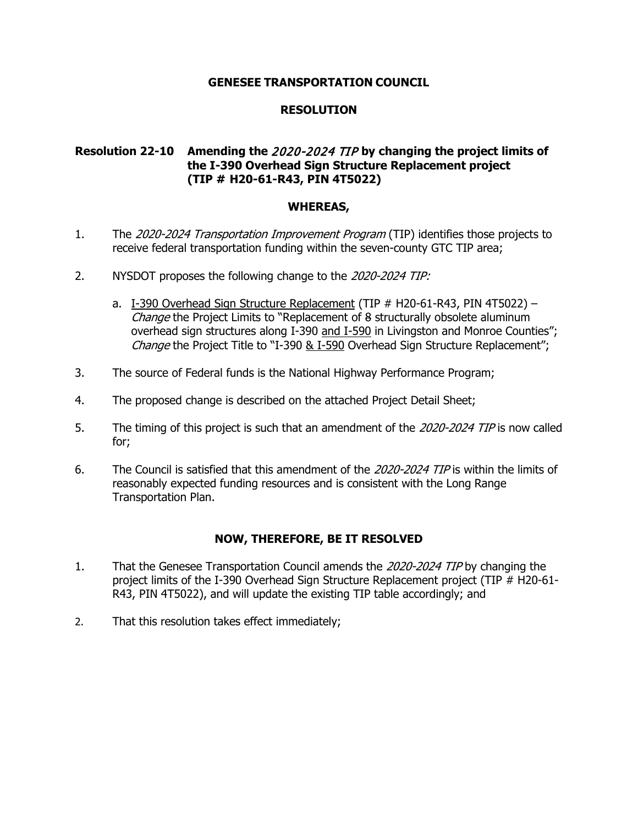# **RESOLUTION**

# **Resolution 22-10 Amending the** 2020-2024 TIP **by changing the project limits of the I-390 Overhead Sign Structure Replacement project (TIP # H20-61-R43, PIN 4T5022)**

#### **WHEREAS,**

- 1. The 2020-2024 Transportation Improvement Program (TIP) identifies those projects to receive federal transportation funding within the seven-county GTC TIP area;
- 2. NYSDOT proposes the following change to the 2020-2024 TIP:
	- a. I-390 Overhead Sign Structure Replacement (TIP # H20-61-R43, PIN 4T5022) -Change the Project Limits to "Replacement of 8 structurally obsolete aluminum overhead sign structures along I-390 and I-590 in Livingston and Monroe Counties"; Change the Project Title to "I-390 & I-590 Overhead Sign Structure Replacement";
- 3. The source of Federal funds is the National Highway Performance Program;
- 4. The proposed change is described on the attached Project Detail Sheet;
- 5. The timing of this project is such that an amendment of the 2020-2024 TIP is now called for;
- 6. The Council is satisfied that this amendment of the 2020-2024 TIP is within the limits of reasonably expected funding resources and is consistent with the Long Range Transportation Plan.

- 1. That the Genesee Transportation Council amends the 2020-2024 TIP by changing the project limits of the I-390 Overhead Sign Structure Replacement project (TIP # H20-61- R43, PIN 4T5022), and will update the existing TIP table accordingly; and
- 2. That this resolution takes effect immediately;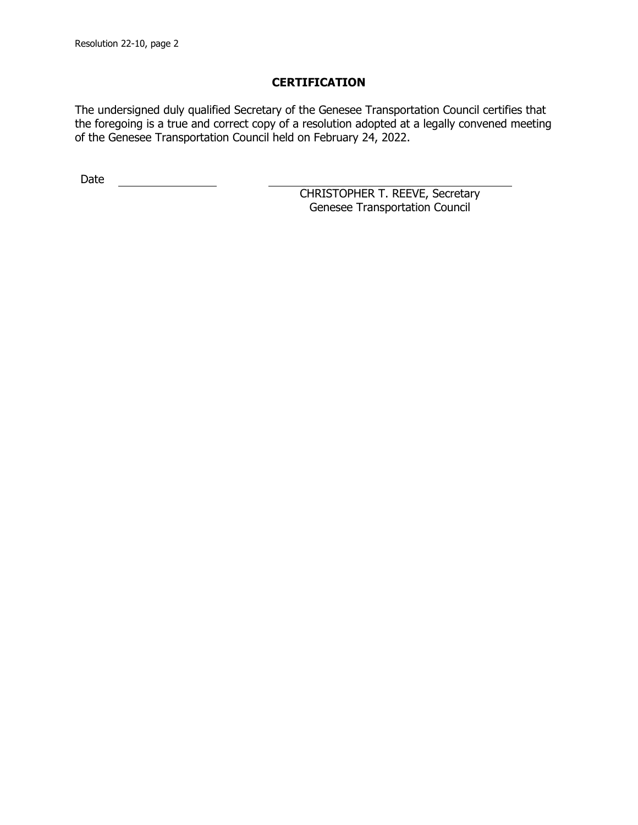The undersigned duly qualified Secretary of the Genesee Transportation Council certifies that the foregoing is a true and correct copy of a resolution adopted at a legally convened meeting of the Genesee Transportation Council held on February 24, 2022.

Date <u>\_\_\_\_\_\_\_\_\_\_\_\_\_\_</u>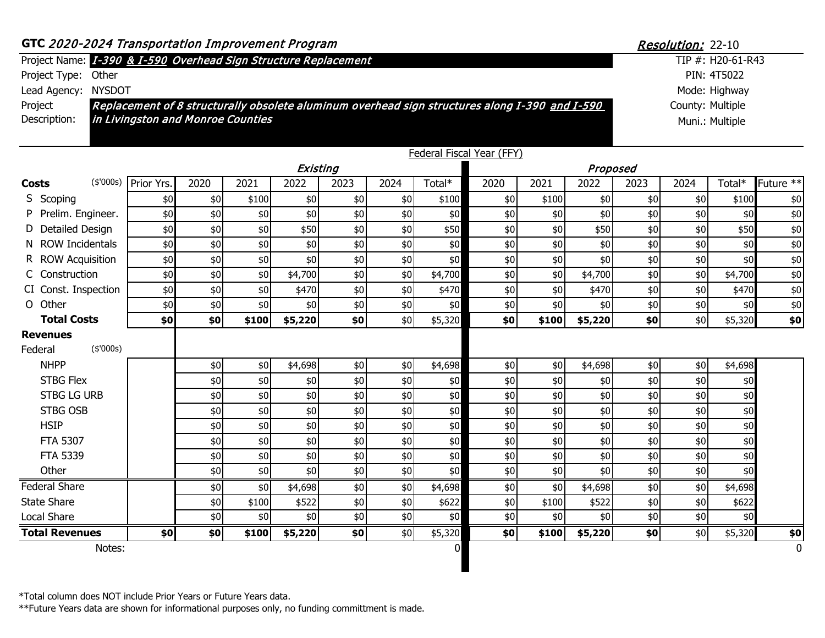| Notes:                                                          |                                                                                                |      |       |          |       |      | $\overline{0}$ |                           |       |          |                  |                          |                   | 0                    |
|-----------------------------------------------------------------|------------------------------------------------------------------------------------------------|------|-------|----------|-------|------|----------------|---------------------------|-------|----------|------------------|--------------------------|-------------------|----------------------|
| <b>Total Revenues</b>                                           | \$0]                                                                                           | \$0  | \$100 | \$5,220  | \$0   | \$0  | \$5,320        | \$0                       | \$100 | \$5,220  | \$0              | \$0                      | \$5,320           | \$0                  |
| <b>Local Share</b>                                              |                                                                                                | \$0  | \$0   | \$0      | \$0   | \$0  | \$0            | \$0                       | \$0   | \$0      | \$0              | \$0                      | \$0               |                      |
| <b>State Share</b>                                              |                                                                                                | \$0  | \$100 | \$522    | \$0   | \$0  | \$622          | \$0                       | \$100 | \$522    | \$0              | \$0                      | \$622             |                      |
| <b>Federal Share</b>                                            |                                                                                                | \$0  | \$0   | \$4,698  | \$0   | \$0  | \$4,698        | \$0\$                     | \$0   | \$4,698  | \$0              | \$0                      | \$4,698           |                      |
| Other                                                           |                                                                                                | \$0  | \$0   | \$0      | \$0   | \$0  | \$0            | \$0                       | \$0   | \$0      | \$0              | \$0                      | \$0               |                      |
| FTA 5339                                                        |                                                                                                | \$0  | \$0   | \$0      | \$0   | \$0  | \$0            | \$0                       | \$0   | \$0      | \$0              | \$0                      | \$0               |                      |
| FTA 5307                                                        |                                                                                                | \$0  | \$0   | \$0      | \$0   | \$0  | \$0            | \$0                       | \$0   | \$0      | \$0              | \$0                      | \$0               |                      |
| <b>HSIP</b>                                                     |                                                                                                | \$0  | \$0   | \$0      | \$0   | \$0  | \$0            | \$0                       | \$0   | \$0      | \$0              | \$0\$                    | \$0               |                      |
| <b>STBG OSB</b>                                                 |                                                                                                | \$0  | \$0   | \$0      | \$0   | \$0  | \$0            | \$0                       | \$0   | \$0      | \$0              | \$0\$                    | \$0               |                      |
| <b>STBG LG URB</b>                                              |                                                                                                | \$0  | \$0   | \$0      | \$0   | \$0  | \$0            | \$0                       | \$0   | \$0      | \$0              | \$0\$                    | \$0               |                      |
| <b>STBG Flex</b>                                                |                                                                                                | \$0  | \$0   | \$0      | \$0\$ | \$0  | \$0            | \$0                       | \$0   | \$0      | \$0              | \$0\$                    | \$0               |                      |
| <b>NHPP</b>                                                     |                                                                                                | \$0  | \$0   | \$4,698  | \$0\$ | \$0  | \$4,698        | \$0                       | \$0   | \$4,698  | \$0              | \$0                      | \$4,698           |                      |
| <b>Revenues</b><br>(\$'000s)<br>Federal                         |                                                                                                |      |       |          |       |      |                |                           |       |          |                  |                          |                   |                      |
| <b>Total Costs</b>                                              | \$0                                                                                            | \$0  | \$100 | \$5,220  | \$0   | \$0  | \$5,320        | \$0                       | \$100 | \$5,220  | \$0              | \$0                      | \$5,320           | \$0                  |
| O Other                                                         | \$0                                                                                            | \$0  | \$0   | \$0      | \$0   | \$0  | \$0            | \$0                       | \$0   | \$0      | \$0              | \$0\$                    | \$0               | \$0                  |
| CI Const. Inspection                                            | \$0                                                                                            | \$0  | \$0   | \$470    | \$0   | \$0  | \$470          | \$0                       | \$0   | \$470    | \$0              | \$0                      | \$470             | \$0                  |
| C Construction                                                  | \$0                                                                                            | \$0  | \$0   | \$4,700  | \$0   | \$0  | \$4,700        | \$0                       | \$0   | \$4,700  | \$0              | \$0\$                    | \$4,700           | \$0                  |
| R ROW Acquisition                                               | \$0                                                                                            | \$0  | \$0   | \$0      | \$0   | \$0  | \$0            | \$0                       | \$0   | \$0      | \$0              | \$0\$                    | \$0               | \$0                  |
| N ROW Incidentals                                               | \$0                                                                                            | \$0  | \$0   | \$0      | \$0   | \$0  | \$0            | \$0                       | \$0   | \$0      | \$0              | \$0                      | \$0               | \$0                  |
| D Detailed Design                                               | \$0                                                                                            | \$0  | \$0   | \$50     | \$0   | \$0  | \$50           | \$0                       | \$0   | \$50     | \$0              | \$0                      | \$50              | \$0                  |
| Prelim. Engineer.                                               | \$0                                                                                            | \$0  | \$0   | \$0      | \$0   | \$0  | \$0            | \$0                       | \$0   | \$0      | \$0              | \$0                      | \$0               | \$0                  |
| S Scoping                                                       | \$0                                                                                            | \$0  | \$100 | \$0      | \$0   | \$0  | \$100          | \$0                       | \$100 | \$0      | \$0              | \$0                      | \$100             | \$0                  |
| (\$'000s)<br><b>Costs</b>                                       | Prior Yrs.                                                                                     | 2020 | 2021  | 2022     | 2023  | 2024 | Total*         | 2020                      | 2021  | 2022     | 2023             | 2024                     | Total*            | Future <sup>**</sup> |
|                                                                 |                                                                                                |      |       | Existing |       |      |                |                           |       | Proposed |                  |                          |                   |                      |
|                                                                 |                                                                                                |      |       |          |       |      |                | Federal Fiscal Year (FFY) |       |          |                  |                          |                   |                      |
| Description:                                                    | in Livingston and Monroe Counties                                                              |      |       |          |       |      |                |                           |       |          |                  |                          | Muni.: Multiple   |                      |
| Project                                                         | Replacement of 8 structurally obsolete aluminum overhead sign structures along I-390 and I-590 |      |       |          |       |      |                |                           |       |          | County: Multiple |                          |                   |                      |
| Lead Agency: NYSDOT                                             |                                                                                                |      |       |          |       |      |                |                           |       |          |                  |                          | Mode: Highway     |                      |
| Project Type:<br>Other                                          |                                                                                                |      |       |          |       |      |                |                           |       |          |                  |                          | PIN: 4T5022       |                      |
| Project Name: I-390 & I-590 Overhead Sign Structure Replacement |                                                                                                |      |       |          |       |      |                |                           |       |          |                  |                          | TIP #: H20-61-R43 |                      |
| GTC 2020-2024 Transportation Improvement Program                |                                                                                                |      |       |          |       |      |                |                           |       |          |                  | <b>Resolution:</b> 22-10 |                   |                      |

\*Total column does NOT include Prior Years or Future Years data.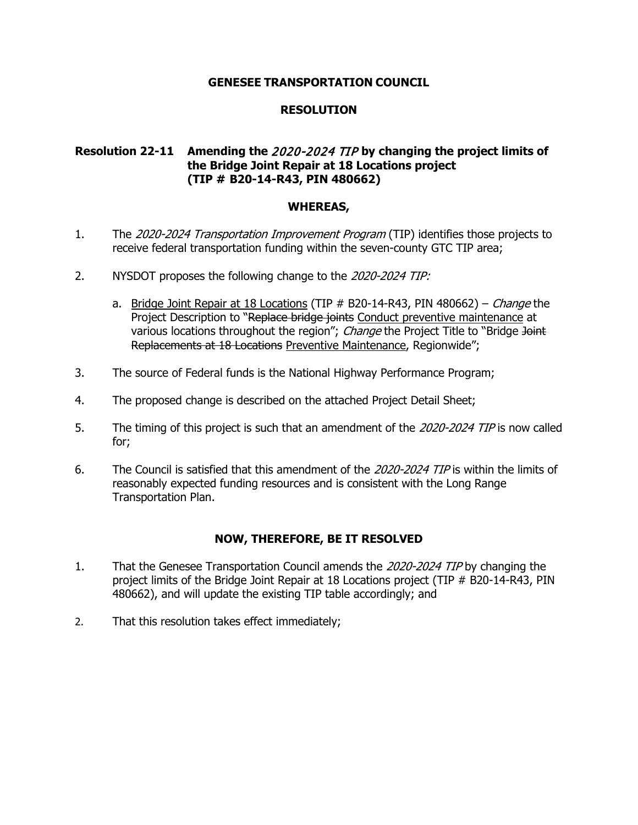# **RESOLUTION**

# **Resolution 22-11 Amending the** 2020-2024 TIP **by changing the project limits of the Bridge Joint Repair at 18 Locations project (TIP # B20-14-R43, PIN 480662)**

#### **WHEREAS,**

- 1. The 2020-2024 Transportation Improvement Program (TIP) identifies those projects to receive federal transportation funding within the seven-county GTC TIP area;
- 2. NYSDOT proposes the following change to the 2020-2024 TIP:
	- a. Bridge Joint Repair at 18 Locations (TIP  $#$  B20-14-R43, PIN 480662) *Change* the Project Description to "Replace bridge joints Conduct preventive maintenance at various locations throughout the region"; *Change* the Project Title to "Bridge Joint Replacements at 18 Locations Preventive Maintenance, Regionwide";
- 3. The source of Federal funds is the National Highway Performance Program;
- 4. The proposed change is described on the attached Project Detail Sheet;
- 5. The timing of this project is such that an amendment of the 2020-2024 TIP is now called for;
- 6. The Council is satisfied that this amendment of the 2020-2024 TIP is within the limits of reasonably expected funding resources and is consistent with the Long Range Transportation Plan.

- 1. That the Genesee Transportation Council amends the 2020-2024 TIP by changing the project limits of the Bridge Joint Repair at 18 Locations project (TIP # B20-14-R43, PIN 480662), and will update the existing TIP table accordingly; and
- 2. That this resolution takes effect immediately;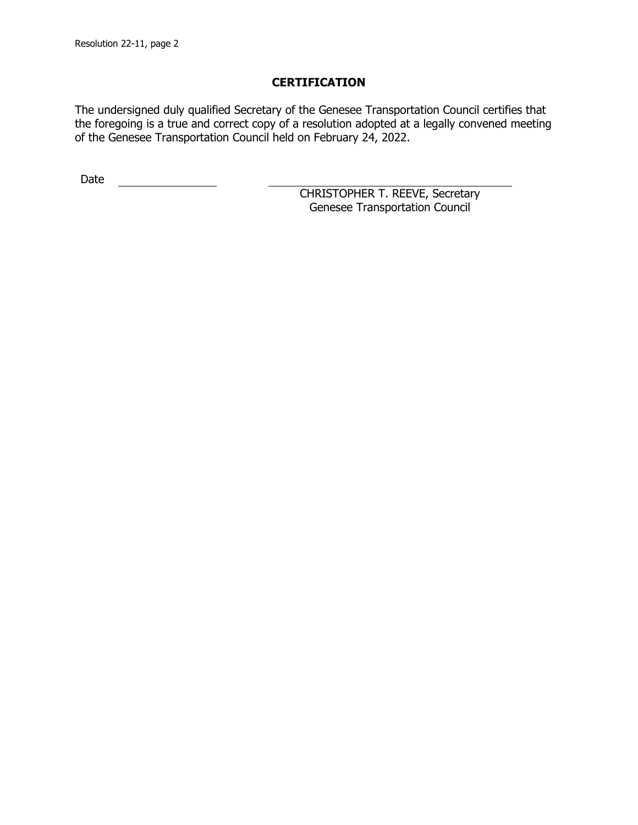The undersigned duly qualified Secretary of the Genesee Transportation Council certifies that the foregoing is a true and correct copy of a resolution adopted at a legally convened meeting of the Genesee Transportation Council held on February 24, 2022.

Date <u>\_\_\_\_\_\_\_\_\_\_\_\_\_\_</u>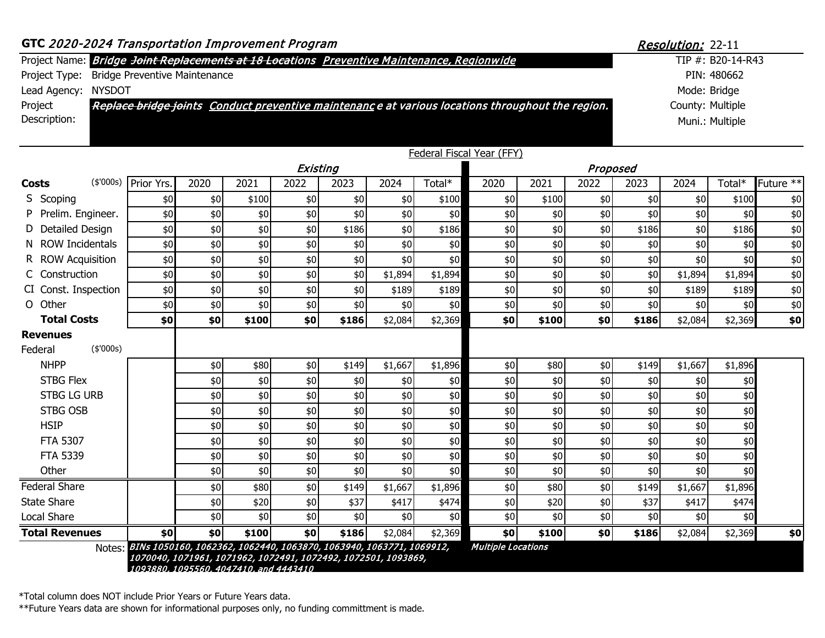|                                                                                            |                                      | 1070040, 1071961, 1071962, 1072491, 1072492, 1072501, 1093869,<br>1093880, 1095560, 4047410, and 4443410 |               |            |            |            |            |                                                                                                  |            |            |             |                          |                   |           |  |
|--------------------------------------------------------------------------------------------|--------------------------------------|----------------------------------------------------------------------------------------------------------|---------------|------------|------------|------------|------------|--------------------------------------------------------------------------------------------------|------------|------------|-------------|--------------------------|-------------------|-----------|--|
| Notes:                                                                                     |                                      | BINs 1050160, 1062362, 1062440, 1063870, 1063940, 1063771, 1069912,                                      |               |            |            |            |            | <b>Multiple Locations</b>                                                                        |            |            |             |                          |                   |           |  |
| <b>Total Revenues</b>                                                                      | \$0                                  | \$0                                                                                                      | \$100         | \$0        | \$186      | \$2,084    | \$2,369    | \$0                                                                                              | \$100      | \$0        | \$186       | \$2,084                  | \$2,369           | \$0       |  |
| Local Share                                                                                |                                      | \$0                                                                                                      | \$0           | \$0        | \$0        | \$0        | \$0        | \$0                                                                                              | \$0        | \$0        | \$0         | \$0                      | \$0               |           |  |
| <b>State Share</b>                                                                         |                                      | \$0                                                                                                      | \$20          | \$0        | \$37       | \$417      | \$474      | \$0                                                                                              | \$20       | \$0        | \$37        | \$417                    | \$474             |           |  |
| <b>Federal Share</b>                                                                       |                                      | \$0                                                                                                      | \$80          | \$0        | \$149      | \$1,667    | \$1,896    | \$0                                                                                              | \$80       | \$0        | \$149       | \$1,667                  | \$1,896           |           |  |
| Other                                                                                      |                                      | \$0<br>\$0                                                                                               | \$0<br>\$0    | \$0<br>\$0 | \$0<br>\$0 | \$0<br>\$0 | \$0<br>\$0 | \$0<br>\$0                                                                                       | \$0<br>\$0 | \$0<br>\$0 | \$0<br>\$0  | \$0                      | \$0<br>\$0        |           |  |
| FTA 5307<br><b>FTA 5339</b>                                                                |                                      | \$0                                                                                                      | \$0           | \$0        | \$0        | \$0        | \$0        | \$0                                                                                              | \$0        | \$0        | \$0         | \$0<br>\$0               | \$0               |           |  |
| <b>HSIP</b>                                                                                |                                      | \$0                                                                                                      | $\frac{6}{5}$ | \$0        | \$0        | \$0        | \$0        | \$0                                                                                              | \$0        | \$0        | \$0         | \$0                      | \$0               |           |  |
| STBG OSB                                                                                   |                                      | \$0                                                                                                      | \$0           | \$0        | \$0        | \$0        | \$0        | \$0                                                                                              | \$0        | \$0        | \$0         | \$0                      | \$0               |           |  |
| <b>STBG LG URB</b>                                                                         |                                      | \$0                                                                                                      | \$0           | \$0        | \$0        | \$0        | \$0        | \$0                                                                                              | \$0        | \$0        | \$0         | \$0                      | \$0               |           |  |
| <b>STBG Flex</b>                                                                           |                                      | \$0                                                                                                      | \$0           | \$0        | \$0        | \$0        | \$0        | \$0                                                                                              | \$0        | \$0        | \$0         | \$0                      | \$0               |           |  |
| <b>NHPP</b>                                                                                |                                      | \$0                                                                                                      | \$80          | \$0        | \$149      | \$1,667    | \$1,896    | \$0                                                                                              | \$80       | \$0        | \$149       | \$1,667                  | \$1,896           |           |  |
| (\$7000s)<br>Federal                                                                       |                                      |                                                                                                          |               |            |            |            |            |                                                                                                  |            |            |             |                          |                   |           |  |
| <b>Revenues</b>                                                                            |                                      |                                                                                                          |               |            |            |            |            |                                                                                                  |            |            |             |                          |                   |           |  |
| <b>Total Costs</b>                                                                         | \$0                                  | \$0                                                                                                      | \$100         | \$0        | \$186      | \$2,084    | \$2,369    | \$0                                                                                              | \$100      | \$0        | \$186       | \$2,084                  | \$2,369           | \$0       |  |
| O Other                                                                                    | \$0                                  | $$0$$                                                                                                    | \$0           | \$0        | \$0        | \$0        | \$0        | \$0                                                                                              | \$0        | \$0        | \$0         | \$0                      | \$0               | \$0       |  |
| CI Const. Inspection                                                                       | \$0                                  | \$0                                                                                                      | \$0           | \$0        | \$0        | \$189      | \$189      | \$0                                                                                              | \$0        | \$0        | \$0         | \$189                    | \$189             | \$0       |  |
| C Construction                                                                             | \$0                                  | \$0                                                                                                      | \$0           | \$0        | \$0        | \$1,894    | \$1,894    | \$0                                                                                              | \$0        | \$0        | \$0         | \$1,894                  | \$1,894           | \$0       |  |
| <b>ROW Acquisition</b>                                                                     | \$0                                  | \$0                                                                                                      | \$0           | \$0        | \$0        | \$0        | \$0        | \$0                                                                                              | \$0        | \$0        | \$0         | \$0                      | \$0               | \$0       |  |
| N ROW Incidentals                                                                          | \$0                                  | \$0                                                                                                      | \$0           | \$0        | \$0        | \$0        | \$0        | \$0                                                                                              | \$0        | \$0        | \$0         | \$0                      | \$0               | \$0       |  |
| Detailed Design<br>D                                                                       | \$0                                  | \$0                                                                                                      | \$0           | \$0        | \$186      | \$0        | \$186      | \$0                                                                                              | \$0        | \$0        | \$186       | \$0                      | \$186             | \$0       |  |
| Prelim. Engineer.<br>P                                                                     | \$0                                  | \$0                                                                                                      | \$0           | \$0        | \$0        | \$0        | \$0        | \$0                                                                                              | \$0        | \$0        | \$0         | \$0                      | \$0               | \$0       |  |
| S Scoping                                                                                  | \$0                                  | \$0                                                                                                      | \$100         | \$0        | \$0        | \$0        | \$100      | \$0                                                                                              | \$100      | \$0        | \$0         | \$0                      | \$100             | \$0       |  |
| (\$000s)<br>Costs                                                                          | Prior Yrs.                           | 2020                                                                                                     | 2021          | 2022       | 2023       | 2024       | Total*     | 2020                                                                                             | 2021       | 2022       | 2023        | 2024                     | Total*            | Future ** |  |
|                                                                                            |                                      |                                                                                                          |               | Existing   |            |            |            |                                                                                                  |            | Proposed   |             |                          |                   |           |  |
|                                                                                            |                                      |                                                                                                          |               |            |            |            |            | Federal Fiscal Year (FFY)                                                                        |            |            |             |                          |                   |           |  |
| Description:                                                                               |                                      |                                                                                                          |               |            |            |            |            |                                                                                                  |            |            |             |                          | Muni.: Multiple   |           |  |
| Project                                                                                    |                                      |                                                                                                          |               |            |            |            |            | Replace bridge joints Conduct preventive maintenance at various locations throughout the region. |            |            |             | County: Multiple         |                   |           |  |
| <b>NYSDOT</b><br>Lead Agency:                                                              |                                      |                                                                                                          |               |            |            |            |            |                                                                                                  |            |            |             | Mode: Bridge             |                   |           |  |
| Project Type:                                                                              | <b>Bridge Preventive Maintenance</b> |                                                                                                          |               |            |            |            |            |                                                                                                  |            |            | PIN: 480662 |                          |                   |           |  |
| Project Name: Bridge Joint Replacements at 18 Locations Preventive Maintenance, Regionwide |                                      |                                                                                                          |               |            |            |            |            |                                                                                                  |            |            |             |                          | TIP #: B20-14-R43 |           |  |
| GTC 2020-2024 Transportation Improvement Program                                           |                                      |                                                                                                          |               |            |            |            |            |                                                                                                  |            |            |             | <b>Resolution: 22-11</b> |                   |           |  |
|                                                                                            |                                      |                                                                                                          |               |            |            |            |            |                                                                                                  |            |            |             |                          |                   |           |  |

\*Total column does NOT include Prior Years or Future Years data.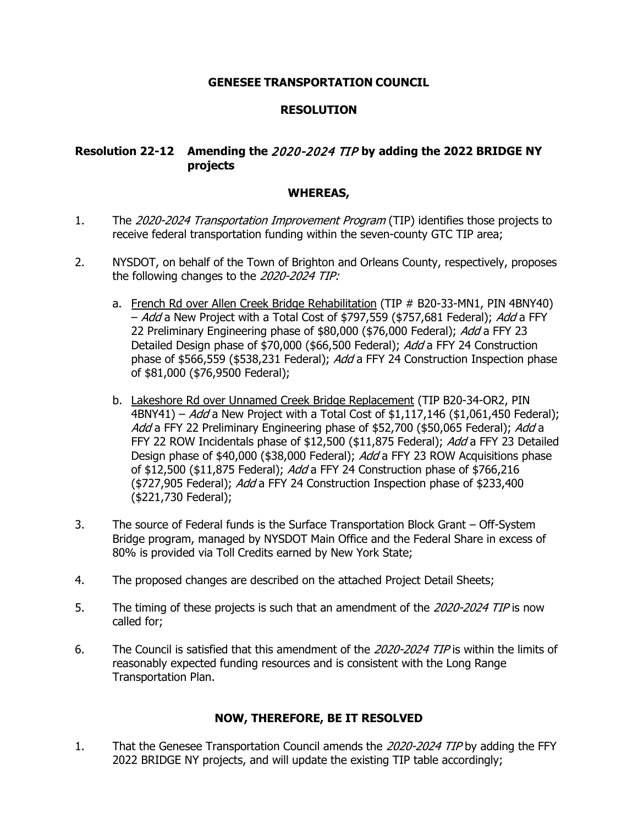# **RESOLUTION**

# **Resolution 22-12 Amending the** 2020-2024 TIP **by adding the 2022 BRIDGE NY projects**

# **WHEREAS,**

- 1. The 2020-2024 Transportation Improvement Program (TIP) identifies those projects to receive federal transportation funding within the seven-county GTC TIP area;
- 2. NYSDOT, on behalf of the Town of Brighton and Orleans County, respectively, proposes the following changes to the 2020-2024 TIP:
	- a. French Rd over Allen Creek Bridge Rehabilitation (TIP # B20-33-MN1, PIN 4BNY40) - Add a New Project with a Total Cost of \$797,559 (\$757,681 Federal); Add a FFY 22 Preliminary Engineering phase of \$80,000 (\$76,000 Federal); Add a FFY 23 Detailed Design phase of \$70,000 (\$66,500 Federal); Add a FFY 24 Construction phase of \$566,559 (\$538,231 Federal); Add a FFY 24 Construction Inspection phase of \$81,000 (\$76,9500 Federal);
	- b. Lakeshore Rd over Unnamed Creek Bridge Replacement (TIP B20-34-OR2, PIN 4BNY41) – Add a New Project with a Total Cost of \$1,117,146 (\$1,061,450 Federal); Add a FFY 22 Preliminary Engineering phase of \$52,700 (\$50,065 Federal); Add a FFY 22 ROW Incidentals phase of \$12,500 (\$11,875 Federal); Add a FFY 23 Detailed Design phase of \$40,000 (\$38,000 Federal); Add a FFY 23 ROW Acquisitions phase of \$12,500 (\$11,875 Federal); Add a FFY 24 Construction phase of \$766,216 (\$727,905 Federal); Add a FFY 24 Construction Inspection phase of \$233,400 (\$221,730 Federal);
- 3. The source of Federal funds is the Surface Transportation Block Grant Off-System Bridge program, managed by NYSDOT Main Office and the Federal Share in excess of 80% is provided via Toll Credits earned by New York State;
- 4. The proposed changes are described on the attached Project Detail Sheets;
- 5. The timing of these projects is such that an amendment of the 2020-2024 TIP is now called for;
- 6. The Council is satisfied that this amendment of the 2020-2024 TIP is within the limits of reasonably expected funding resources and is consistent with the Long Range Transportation Plan.

# **NOW, THEREFORE, BE IT RESOLVED**

1. That the Genesee Transportation Council amends the 2020-2024 TIP by adding the FFY 2022 BRIDGE NY projects, and will update the existing TIP table accordingly;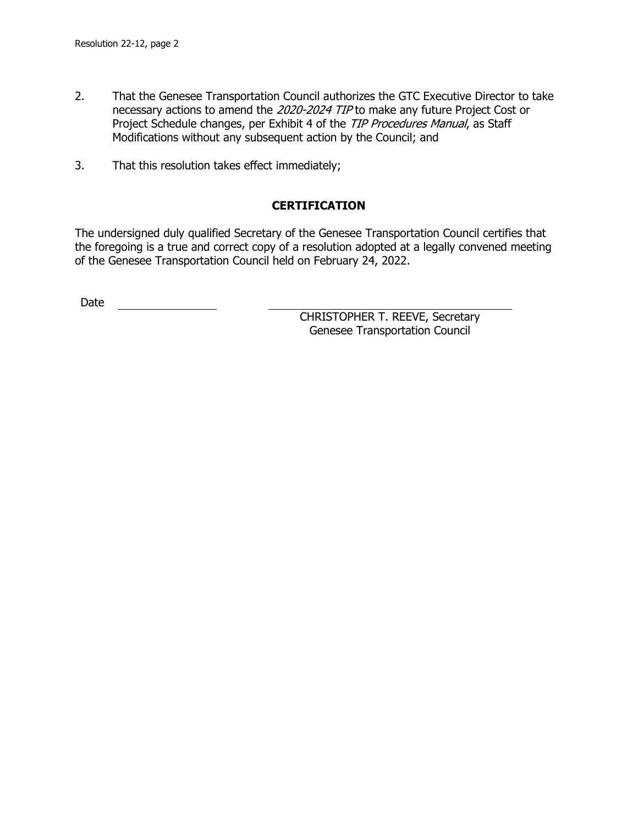- 2. That the Genesee Transportation Council authorizes the GTC Executive Director to take necessary actions to amend the 2020-2024 TIP to make any future Project Cost or Project Schedule changes, per Exhibit 4 of the TIP Procedures Manual, as Staff Modifications without any subsequent action by the Council; and
- 3. That this resolution takes effect immediately;

The undersigned duly qualified Secretary of the Genesee Transportation Council certifies that the foregoing is a true and correct copy of a resolution adopted at a legally convened meeting of the Genesee Transportation Council held on February 24, 2022.

Date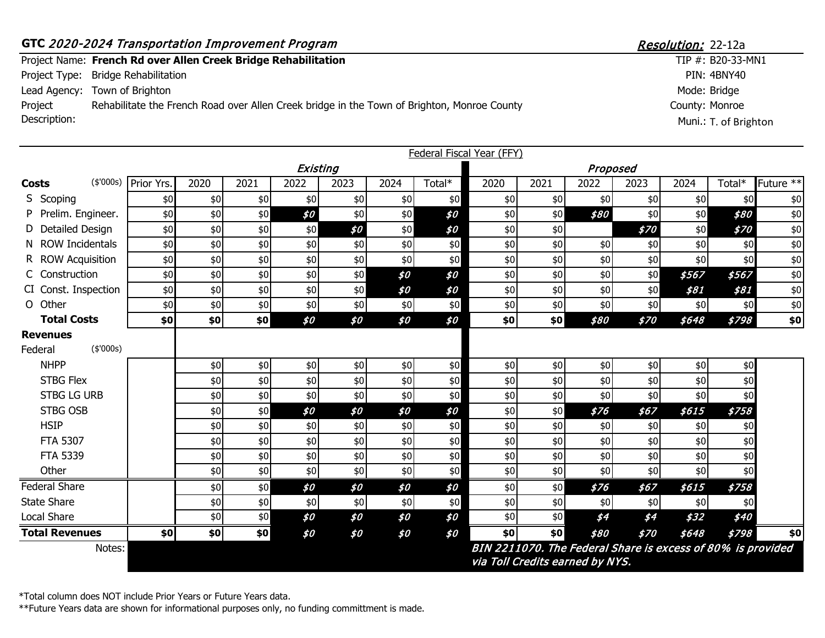|                         | GTC 2020-2024 Transportation Improvement Program                                            | <i>Resolution:</i> 22-12a               |  |  |  |
|-------------------------|---------------------------------------------------------------------------------------------|-----------------------------------------|--|--|--|
|                         | Project Name: French Rd over Allen Creek Bridge Rehabilitation                              | TIP $#$ : B20-33-MN1                    |  |  |  |
|                         | Project Type: Bridge Rehabilitation                                                         | PIN: 4BNY40                             |  |  |  |
|                         | Lead Agency: Town of Brighton                                                               | Mode: Bridge                            |  |  |  |
| Project<br>Description: | Rehabilitate the French Road over Allen Creek bridge in the Town of Brighton, Monroe County | County: Monroe<br>Muni.: T. of Brighton |  |  |  |

|                             | Federal Fiscal Year (FFY) |            |            |            |            |            |            |            |            |                                 |            |                                                             |            |             |  |  |  |
|-----------------------------|---------------------------|------------|------------|------------|------------|------------|------------|------------|------------|---------------------------------|------------|-------------------------------------------------------------|------------|-------------|--|--|--|
|                             | Existing                  |            |            |            |            |            |            |            | Proposed   |                                 |            |                                                             |            |             |  |  |  |
| (\$'000s)<br><b>Costs</b>   | Prior Yrs.                | 2020       | 2021       | 2022       | 2023       | 2024       | Total*     | 2020       | 2021       | 2022                            | 2023       | 2024                                                        | Total*     | Future $**$ |  |  |  |
| S Scoping                   | \$0                       | \$0        | \$0        | \$0        | \$0        | \$0        | \$0        | \$0        | \$0        | \$0                             | \$0        | \$0                                                         | \$0        | $$0$$       |  |  |  |
| Prelim. Engineer.           | \$0                       | $$0$$      | \$0        | \$0        | \$0        | \$0        | \$0        | \$0        | \$0        | \$80                            | \$0        | \$0                                                         | \$80       | $$0$$       |  |  |  |
| D Detailed Design           | \$0                       | \$0        | \$0        | \$0        | \$0        | \$0        | \$0        | \$0        | \$0        |                                 | \$70       | \$0                                                         | \$70       | $$0\,$      |  |  |  |
| N ROW Incidentals           | \$0                       | \$0        | \$0        | \$0        | \$0        | \$0        | \$0        | \$0        | \$0        | \$0                             | \$0        | \$0                                                         | \$0        | $$0$$       |  |  |  |
| R ROW Acquisition           | \$0                       | \$0        | \$0        | \$0        | \$0        | \$0        | \$0        | $$0$$      | \$0        | \$0                             | \$0        | \$0                                                         | \$0        | $$0\,$      |  |  |  |
| C Construction              | \$0                       | \$0        | \$0        | \$0        | \$0        | \$0        | \$0        | \$0        | \$0        | \$0                             | \$0        | \$567                                                       | \$567      | $$0\,$      |  |  |  |
| CI Const. Inspection        | \$0                       | \$0        | \$0        | \$0        | \$0        | \$0        | \$0        | \$0        | \$0        | \$0                             | \$0        | \$81                                                        | \$81       | \$0         |  |  |  |
| O Other                     | \$0                       | \$0        | \$0        | \$0        | \$0        | \$0        | \$0        | \$0        | \$0        | \$0                             | \$0        | \$0                                                         | \$0        | $$0$$       |  |  |  |
| <b>Total Costs</b>          | \$0                       | \$0        | \$0        | \$0        | \$0        | \$0        | \$0        | \$0        | \$0]       | \$80                            | \$70       | \$648                                                       | \$798      | $$0\,$      |  |  |  |
| <b>Revenues</b><br>(\$000s) |                           |            |            |            |            |            |            |            |            |                                 |            |                                                             |            |             |  |  |  |
| Federal                     |                           |            |            |            |            |            |            |            |            |                                 |            |                                                             |            |             |  |  |  |
| <b>NHPP</b>                 |                           | \$0        | \$0        | \$0        | \$0        | \$0        | \$0        | \$0        | \$0        | \$0                             | \$0        | \$0                                                         | \$0        |             |  |  |  |
| <b>STBG Flex</b>            |                           | $$0$$      | \$0        | $$0$$      | \$0        | \$0        | \$0        | \$0        | \$0        | \$0                             | \$0\$      | \$0                                                         | \$0        |             |  |  |  |
| <b>STBG LG URB</b>          |                           | \$0        | \$0        | \$0        | \$0        | \$0        | \$0        | $$0$$      | \$0        | \$0                             | \$0        | \$0                                                         | \$0        |             |  |  |  |
| <b>STBG OSB</b>             |                           | \$0        | \$0        | \$0        | \$0        | \$0        | \$0        | \$0        | \$0        | \$76                            | \$67       | \$615                                                       | \$758      |             |  |  |  |
| <b>HSIP</b>                 |                           | \$0        | \$0        | \$0        | \$0        | \$0        | \$0        | \$0        | \$0        | \$0                             | \$0        | \$0                                                         | \$0        |             |  |  |  |
| FTA 5307                    |                           | \$0        | \$0        | \$0\$      | \$0        | \$0        | $$0$$      | $$0$$      | \$0        | \$0                             | \$0        | \$0                                                         | \$0        |             |  |  |  |
| FTA 5339<br>Other           |                           | \$0<br>\$0 | \$0<br>\$0 | \$0<br>\$0 | \$0<br>\$0 | \$0<br>\$0 | \$0<br>\$0 | \$0<br>\$0 | \$0<br>\$0 | \$0<br>\$0                      | \$0<br>\$0 | \$0<br>\$0                                                  | \$0<br>\$0 |             |  |  |  |
|                             |                           |            |            |            |            |            |            |            |            |                                 |            |                                                             |            |             |  |  |  |
| <b>Federal Share</b>        |                           | \$0        | \$0        | \$0        | \$0        | \$0        | \$0        | $$0$$      | \$0        | \$76                            | \$67       | \$615                                                       | \$758      |             |  |  |  |
| <b>State Share</b>          |                           | \$0        | \$0        | \$0        | \$0        | \$0        | \$0        | \$0        | \$0        | \$0                             | \$0        | \$0                                                         | \$0        |             |  |  |  |
| <b>Local Share</b>          |                           | \$0        | \$0        | \$0        | \$0        | \$0        | \$0        | \$0        | \$0        | \$4                             | \$4        | \$32                                                        | \$40       |             |  |  |  |
| <b>Total Revenues</b>       | \$0                       | \$0        | \$0        | \$0        | \$0        | \$0        | \$0        | \$0        | \$0        | \$80                            | \$70       | \$648                                                       | \$798      | \$0         |  |  |  |
| Notes:                      |                           |            |            |            |            |            |            |            |            | via Toll Credits earned by NYS. |            | BIN 2211070. The Federal Share is excess of 80% is provided |            |             |  |  |  |

\*Total column does NOT include Prior Years or Future Years data.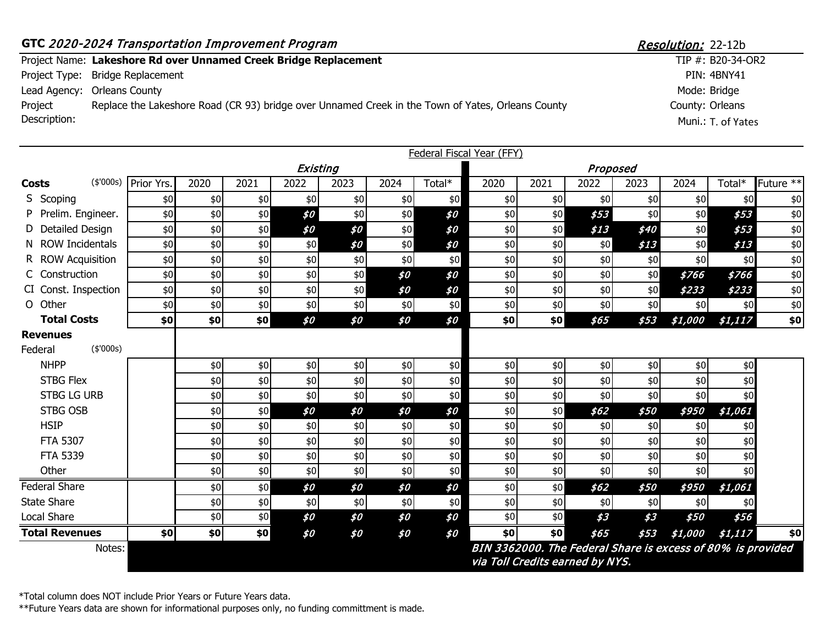#### **GTC** 2020-2024 Transportation Improvement Program Resolution: 22-12b Project Name: Lakeshore Rd over Unnamed Creek Bridge Replacement Project Type: Bridge Replacement Lead Agency: Orleans County County: Orleans TIP #: B20-34-OR2 PIN: 4BNY41 Mode: Bridge Project Description: Replace the Lakeshore Road (CR 93) bridge over Unnamed Creek in the Town of Yates, Orleans County Muni.: T. of Yates

| <b>Federal Fiscal Year (FFY)</b> |                                                                                                          |      |      |       |      |      |        |       |      |      |      |         |         |                      |
|----------------------------------|----------------------------------------------------------------------------------------------------------|------|------|-------|------|------|--------|-------|------|------|------|---------|---------|----------------------|
|                                  | Existing<br>Proposed                                                                                     |      |      |       |      |      |        |       |      |      |      |         |         |                      |
| (\$'000s)<br><b>Costs</b>        | Prior Yrs.                                                                                               | 2020 | 2021 | 2022  | 2023 | 2024 | Total* | 2020  | 2021 | 2022 | 2023 | 2024    | Total*  | Future <sup>**</sup> |
| S Scoping                        | \$0                                                                                                      | \$0  | \$0  | \$0   | \$0  | \$0  | \$0    | \$0   | \$0  | \$0  | \$0  | \$0     | \$0     | \$0                  |
| Prelim. Engineer.                | \$0                                                                                                      | \$0  | \$0  | \$0   | \$0  | \$0  | \$0    | \$0   | \$0  | \$53 | \$0  | \$0     | \$53    | $$0$$                |
| Detailed Design                  | \$0                                                                                                      | \$0  | \$0  | \$0   | \$0  | \$0  | \$0    | $$0$$ | \$0  | \$13 | \$40 | \$0     | \$53    | $$0\,$               |
| N ROW Incidentals                | \$0                                                                                                      | \$0  | \$0  | \$0   | \$0  | \$0  | \$0    | \$0   | \$0  | \$0  | \$13 | \$0     | \$13    | $$0$$                |
| R ROW Acquisition                | \$0                                                                                                      | \$0  | \$0  | \$0   | \$0  | \$0  | \$0    | \$0   | \$0  | \$0  | \$0  | \$0     | \$0     | \$0                  |
| C Construction                   | \$0                                                                                                      | \$0  | \$0  | \$0   | \$0  | \$0  | \$0    | $$0$$ | \$0  | \$0  | \$0  | \$766   | \$766   | $$0$$                |
| CI Const. Inspection             | \$0                                                                                                      | \$0  | \$0  | \$0   | \$0  | \$0  | \$0    | \$0   | \$0  | \$0  | \$0  | \$233   | \$233   | $$0$$                |
| O Other                          | \$0                                                                                                      | \$0  | \$0  | \$0   | \$0  | \$0  | \$0    | \$0   | \$0  | \$0  | \$0  | \$0     | \$0     | $$0\,$               |
| <b>Total Costs</b>               | \$0                                                                                                      | \$0  | \$0  | \$0   | \$0  | \$0  | \$0    | \$0   | \$0  | \$65 | \$53 | \$1,000 | \$1,117 | \$0                  |
| <b>Revenues</b>                  |                                                                                                          |      |      |       |      |      |        |       |      |      |      |         |         |                      |
| (\$'000s)<br>Federal             |                                                                                                          |      |      |       |      |      |        |       |      |      |      |         |         |                      |
| <b>NHPP</b>                      |                                                                                                          | \$0  | \$0  | \$0   | \$0  | \$0  | \$0    | \$0   | \$0  | \$0  | \$0  | \$0     | \$0     |                      |
| STBG Flex                        |                                                                                                          | \$0  | \$0  | \$0   | \$0  | \$0  | \$0    | \$0   | \$0  | \$0  | \$0  | \$0     | \$0     |                      |
| <b>STBG LG URB</b>               |                                                                                                          | \$0  | \$0  | \$0   | \$0  | \$0  | \$0    | \$0   | \$0  | \$0  | \$0  | \$0     | \$0     |                      |
| <b>STBG OSB</b>                  |                                                                                                          | \$0  | \$0  | \$0   | \$0  | \$0  | \$0    | \$0   | \$0  | \$62 | \$50 | \$950   | \$1,061 |                      |
| <b>HSIP</b>                      |                                                                                                          | \$0  | \$0  | \$0   | \$0  | \$0  | \$0    | \$0   | \$0  | \$0  | \$0  | \$0     | \$0     |                      |
| <b>FTA 5307</b>                  |                                                                                                          | \$0  | \$0  | \$0   | \$0  | \$0  | \$0    | \$0   | \$0  | \$0  | \$0  | \$0     | \$0     |                      |
| <b>FTA 5339</b>                  |                                                                                                          | \$0  | \$0  | \$0\$ | \$0  | \$0  | \$0    | \$0   | \$0  | \$0  | \$0  | \$0     | \$0     |                      |
| Other                            |                                                                                                          | \$0  | \$0  | \$0   | \$0  | \$0  | \$0    | \$0   | \$0  | \$0  | \$0  | \$0     | \$0     |                      |
| <b>Federal Share</b>             |                                                                                                          | \$0  | \$0  | \$0   | \$0  | \$0  | \$0    | \$0   | \$0  | \$62 | \$50 | \$950   | \$1,061 |                      |
| <b>State Share</b>               |                                                                                                          | \$0  | \$0  | \$0   | \$0  | \$0  | \$0    | \$0   | \$0  | \$0  | \$0  | \$0     | \$0     |                      |
| Local Share                      |                                                                                                          | \$0  | \$0  | \$0   | \$0  | \$0  | \$0    | \$0   | \$0  | \$3  | 53   | \$50    | \$56    |                      |
| <b>Total Revenues</b>            | \$0                                                                                                      | \$0  | \$0  | \$0   | \$0  | \$0  | \$0    | \$0   | \$0  | \$65 | \$53 | \$1,000 | \$1,117 | \$0                  |
|                                  | BIN 3362000. The Federal Share is excess of 80% is provided<br>Notes:<br>via Toll Credits earned by NYS. |      |      |       |      |      |        |       |      |      |      |         |         |                      |

\*Total column does NOT include Prior Years or Future Years data.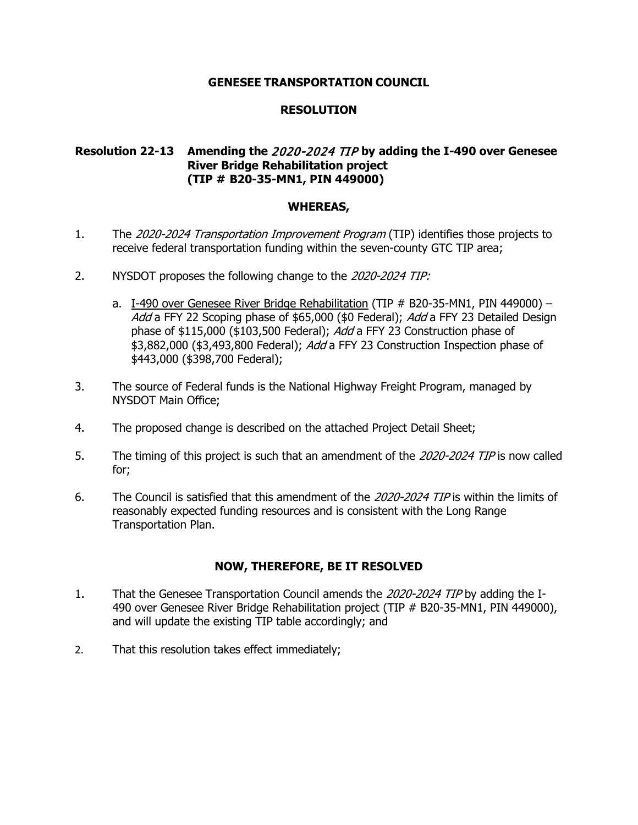## **RESOLUTION**

# **Resolution 22-13 Amending the** 2020-2024 TIP **by adding the I-490 over Genesee River Bridge Rehabilitation project (TIP # B20-35-MN1, PIN 449000)**

#### **WHEREAS,**

- 1. The 2020-2024 Transportation Improvement Program (TIP) identifies those projects to receive federal transportation funding within the seven-county GTC TIP area;
- 2. NYSDOT proposes the following change to the 2020-2024 TIP:
	- a. I-490 over Genesee River Bridge Rehabilitation (TIP # B20-35-MN1, PIN 449000) -Add a FFY 22 Scoping phase of \$65,000 (\$0 Federal); Add a FFY 23 Detailed Design phase of \$115,000 (\$103,500 Federal); Add a FFY 23 Construction phase of \$3,882,000 (\$3,493,800 Federal); Add a FFY 23 Construction Inspection phase of \$443,000 (\$398,700 Federal);
- 3. The source of Federal funds is the National Highway Freight Program, managed by NYSDOT Main Office;
- 4. The proposed change is described on the attached Project Detail Sheet;
- 5. The timing of this project is such that an amendment of the 2020-2024 TIP is now called for;
- 6. The Council is satisfied that this amendment of the 2020-2024 TIP is within the limits of reasonably expected funding resources and is consistent with the Long Range Transportation Plan.

- 1. That the Genesee Transportation Council amends the 2020-2024 TIP by adding the I-490 over Genesee River Bridge Rehabilitation project (TIP # B20-35-MN1, PIN 449000), and will update the existing TIP table accordingly; and
- 2. That this resolution takes effect immediately;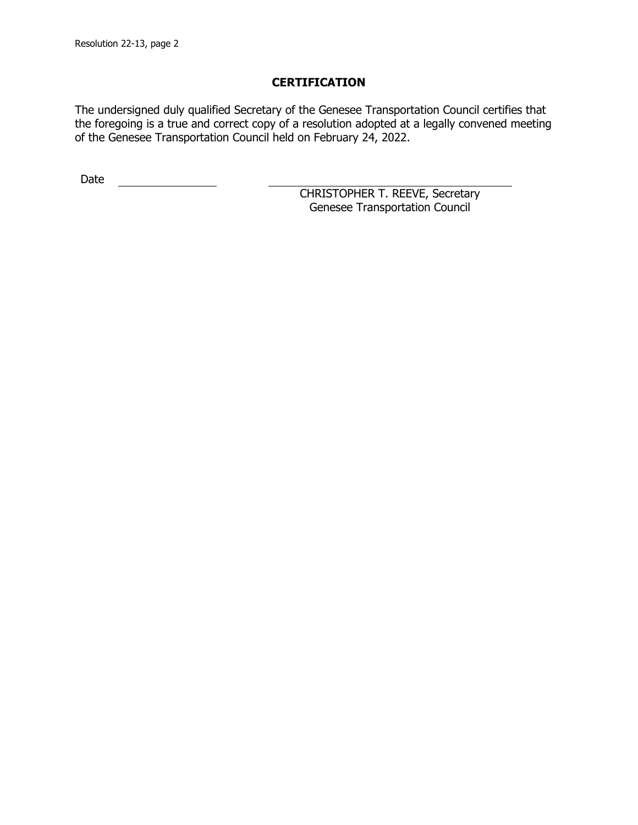The undersigned duly qualified Secretary of the Genesee Transportation Council certifies that the foregoing is a true and correct copy of a resolution adopted at a legally convened meeting of the Genesee Transportation Council held on February 24, 2022.

Date <u>\_\_\_\_\_\_\_\_\_\_\_\_\_\_</u>